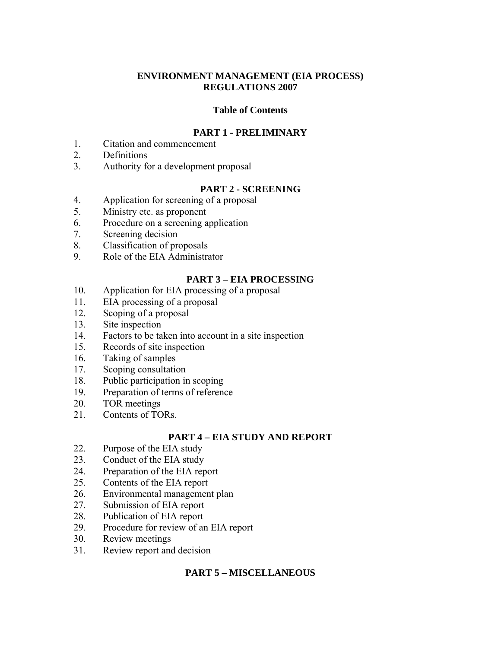### **ENVIRONMENT MANAGEMENT (EIA PROCESS) REGULATIONS 2007**

### **Table of Contents**

### **PART 1 - PRELIMINARY**

- 1. Citation and commencement
- 2. Definitions
- 3. Authority for a development proposal

### **PART 2 - SCREENING**

- 4. Application for screening of a proposal
- 5. Ministry etc. as proponent
- 6. Procedure on a screening application
- 7. Screening decision
- 8. Classification of proposals
- 9. Role of the EIA Administrator

### **PART 3 – EIA PROCESSING**

- 10. Application for EIA processing of a proposal
- 11. EIA processing of a proposal
- 12. Scoping of a proposal
- 13. Site inspection
- 14. Factors to be taken into account in a site inspection
- 15. Records of site inspection
- 16. Taking of samples
- 17. Scoping consultation
- 18. Public participation in scoping
- 19. Preparation of terms of reference
- 20. TOR meetings
- 21. Contents of TORs.

# **PART 4 – EIA STUDY AND REPORT**

- 22. Purpose of the EIA study
- 23. Conduct of the EIA study
- 24. Preparation of the EIA report
- 25. Contents of the EIA report
- 26. Environmental management plan
- 27. Submission of EIA report
- 28. Publication of EIA report
- 29. Procedure for review of an EIA report
- 30. Review meetings
- 31. Review report and decision

### **PART 5 – MISCELLANEOUS**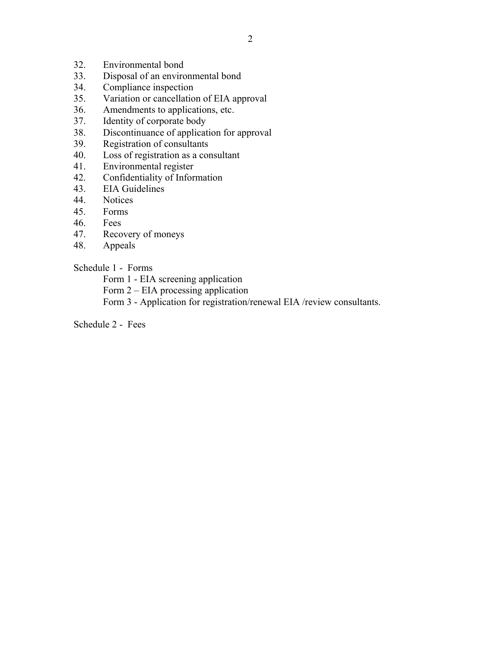- 32. Environmental bond
- 33. Disposal of an environmental bond
- 34. Compliance inspection
- 35. Variation or cancellation of EIA approval
- 36. Amendments to applications, etc.
- 37. Identity of corporate body
- 38. Discontinuance of application for approval
- 39. Registration of consultants
- 40. Loss of registration as a consultant
- 41. Environmental register
- 42. Confidentiality of Information
- 43. EIA Guidelines
- 44. Notices
- 45. Forms
- 46. Fees
- 47. Recovery of moneys
- 48. Appeals

### Schedule 1 - Forms

Form 1 - EIA screening application

Form 2 – EIA processing application

Form 3 - Application for registration/renewal EIA /review consultants.

Schedule 2 - Fees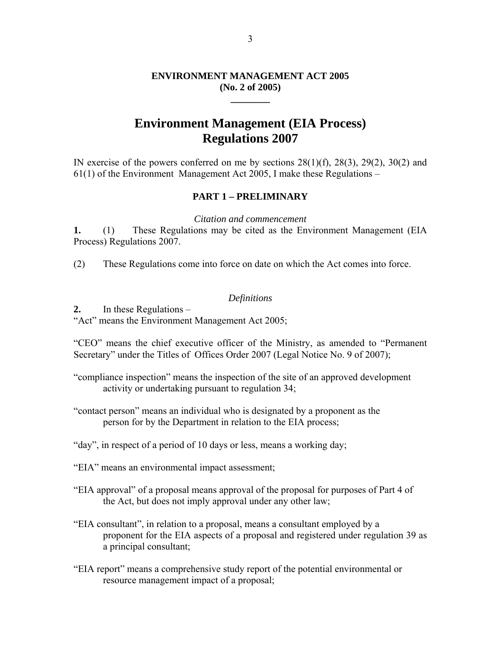### **ENVIRONMENT MANAGEMENT ACT 2005 (No. 2 of 2005)**

**\_\_\_\_\_\_\_\_** 

# **Environment Management (EIA Process) Regulations 2007**

IN exercise of the powers conferred on me by sections  $28(1)(f)$ ,  $28(3)$ ,  $29(2)$ ,  $30(2)$  and 61(1) of the Environment Management Act 2005, I make these Regulations –

#### **PART 1 – PRELIMINARY**

*Citation and commencement* 

**1.** (1) These Regulations may be cited as the Environment Management (EIA Process) Regulations 2007.

(2) These Regulations come into force on date on which the Act comes into force.

#### *Definitions*

**2.** In these Regulations –

"Act" means the Environment Management Act 2005;

"CEO" means the chief executive officer of the Ministry, as amended to "Permanent Secretary" under the Titles of Offices Order 2007 (Legal Notice No. 9 of 2007);

- "compliance inspection" means the inspection of the site of an approved development activity or undertaking pursuant to regulation 34;
- "contact person" means an individual who is designated by a proponent as the person for by the Department in relation to the EIA process;

"day", in respect of a period of 10 days or less, means a working day;

"EIA" means an environmental impact assessment;

"EIA approval" of a proposal means approval of the proposal for purposes of Part 4 of the Act, but does not imply approval under any other law;

- "EIA consultant", in relation to a proposal, means a consultant employed by a proponent for the EIA aspects of a proposal and registered under regulation 39 as a principal consultant;
- "EIA report" means a comprehensive study report of the potential environmental or resource management impact of a proposal;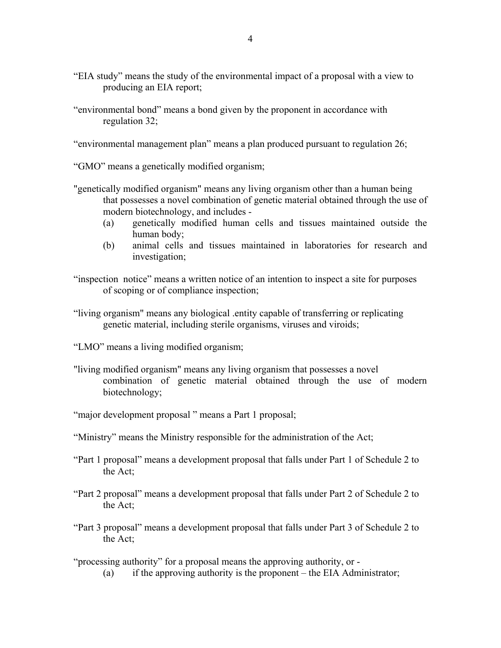- "EIA study" means the study of the environmental impact of a proposal with a view to producing an EIA report;
- "environmental bond" means a bond given by the proponent in accordance with regulation 32;

"environmental management plan" means a plan produced pursuant to regulation 26;

"GMO" means a genetically modified organism;

- "genetically modified organism" means any living organism other than a human being that possesses a novel combination of genetic material obtained through the use of modern biotechnology, and includes -
	- (a) genetically modified human cells and tissues maintained outside the human body;
	- (b) animal cells and tissues maintained in laboratories for research and investigation;

"inspection notice" means a written notice of an intention to inspect a site for purposes of scoping or of compliance inspection;

"living organism" means any biological .entity capable of transferring or replicating genetic material, including sterile organisms, viruses and viroids;

"LMO" means a living modified organism;

- "living modified organism" means any living organism that possesses a novel combination of genetic material obtained through the use of modern biotechnology;
- "major development proposal " means a Part 1 proposal;
- "Ministry" means the Ministry responsible for the administration of the Act;
- "Part 1 proposal" means a development proposal that falls under Part 1 of Schedule 2 to the Act;
- "Part 2 proposal" means a development proposal that falls under Part 2 of Schedule 2 to the Act;
- "Part 3 proposal" means a development proposal that falls under Part 3 of Schedule 2 to the Act;

"processing authority" for a proposal means the approving authority, or -

(a) if the approving authority is the proponent – the EIA Administrator;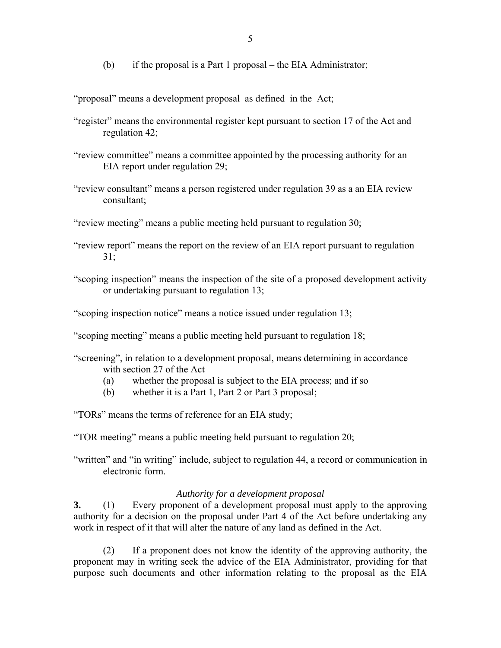(b) if the proposal is a Part 1 proposal – the EIA Administrator;

"proposal" means a development proposal as defined in the Act;

- "register" means the environmental register kept pursuant to section 17 of the Act and regulation 42;
- "review committee" means a committee appointed by the processing authority for an EIA report under regulation 29;
- "review consultant" means a person registered under regulation 39 as a an EIA review consultant;
- "review meeting" means a public meeting held pursuant to regulation 30;
- "review report" means the report on the review of an EIA report pursuant to regulation 31;
- "scoping inspection" means the inspection of the site of a proposed development activity or undertaking pursuant to regulation 13;
- "scoping inspection notice" means a notice issued under regulation 13;
- "scoping meeting" means a public meeting held pursuant to regulation 18;
- "screening", in relation to a development proposal, means determining in accordance with section 27 of the Act –
	- (a) whether the proposal is subject to the EIA process; and if so
	- (b) whether it is a Part 1, Part 2 or Part 3 proposal;

"TORs" means the terms of reference for an EIA study;

"TOR meeting" means a public meeting held pursuant to regulation 20;

"written" and "in writing" include, subject to regulation 44, a record or communication in electronic form.

### *Authority for a development proposal*

**3.** (1) Every proponent of a development proposal must apply to the approving authority for a decision on the proposal under Part 4 of the Act before undertaking any work in respect of it that will alter the nature of any land as defined in the Act.

 (2) If a proponent does not know the identity of the approving authority, the proponent may in writing seek the advice of the EIA Administrator, providing for that purpose such documents and other information relating to the proposal as the EIA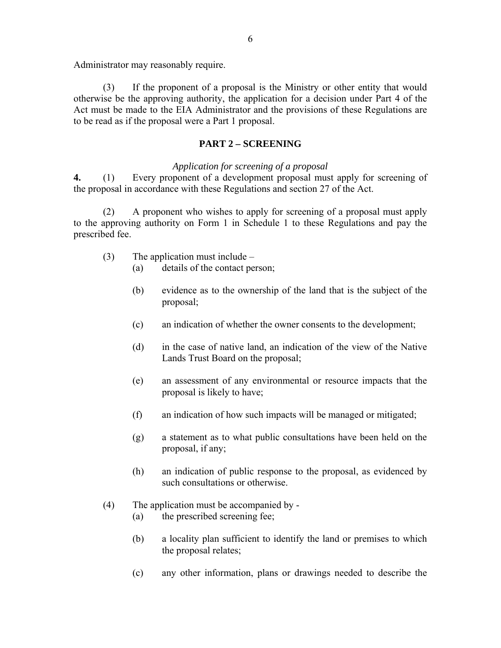Administrator may reasonably require.

 (3) If the proponent of a proposal is the Ministry or other entity that would otherwise be the approving authority, the application for a decision under Part 4 of the Act must be made to the EIA Administrator and the provisions of these Regulations are to be read as if the proposal were a Part 1 proposal.

### **PART 2 – SCREENING**

#### *Application for screening of a proposal*

**4.** (1) Every proponent of a development proposal must apply for screening of the proposal in accordance with these Regulations and section 27 of the Act.

(2) A proponent who wishes to apply for screening of a proposal must apply to the approving authority on Form 1 in Schedule 1 to these Regulations and pay the prescribed fee.

- (3) The application must include
	- (a) details of the contact person;
	- (b) evidence as to the ownership of the land that is the subject of the proposal;
	- (c) an indication of whether the owner consents to the development;
	- (d) in the case of native land, an indication of the view of the Native Lands Trust Board on the proposal;
	- (e) an assessment of any environmental or resource impacts that the proposal is likely to have;
	- (f) an indication of how such impacts will be managed or mitigated;
	- (g) a statement as to what public consultations have been held on the proposal, if any;
	- (h) an indication of public response to the proposal, as evidenced by such consultations or otherwise.
- (4) The application must be accompanied by
	- (a) the prescribed screening fee;
	- (b) a locality plan sufficient to identify the land or premises to which the proposal relates;
	- (c) any other information, plans or drawings needed to describe the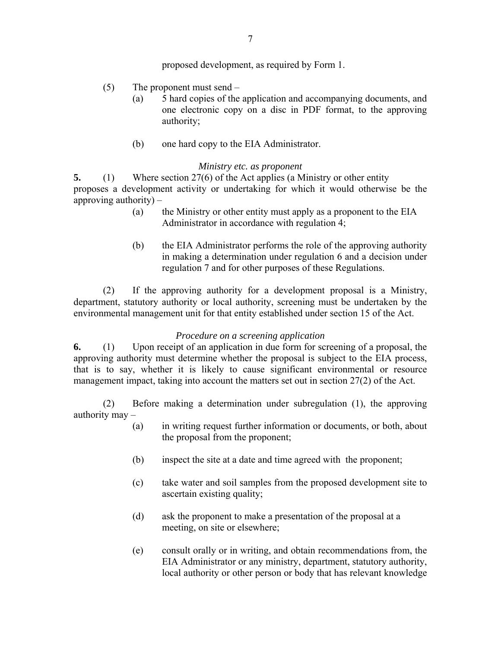proposed development, as required by Form 1.

- (5) The proponent must send
	- (a) 5 hard copies of the application and accompanying documents, and one electronic copy on a disc in PDF format, to the approving authority;
	- (b) one hard copy to the EIA Administrator.

### *Ministry etc. as proponent*

**5.** (1) Where section 27(6) of the Act applies (a Ministry or other entity proposes a development activity or undertaking for which it would otherwise be the approving authority) –

- (a) the Ministry or other entity must apply as a proponent to the EIA Administrator in accordance with regulation 4;
- (b) the EIA Administrator performs the role of the approving authority in making a determination under regulation 6 and a decision under regulation 7 and for other purposes of these Regulations.

 (2) If the approving authority for a development proposal is a Ministry, department, statutory authority or local authority, screening must be undertaken by the environmental management unit for that entity established under section 15 of the Act.

### *Procedure on a screening application*

**6.** (1) Upon receipt of an application in due form for screening of a proposal, the approving authority must determine whether the proposal is subject to the EIA process, that is to say, whether it is likely to cause significant environmental or resource management impact, taking into account the matters set out in section 27(2) of the Act.

(2) Before making a determination under subregulation (1), the approving authority may –

- (a) in writing request further information or documents, or both, about the proposal from the proponent;
- (b) inspect the site at a date and time agreed with the proponent;
- (c) take water and soil samples from the proposed development site to ascertain existing quality;
- (d) ask the proponent to make a presentation of the proposal at a meeting, on site or elsewhere;
- (e) consult orally or in writing, and obtain recommendations from, the EIA Administrator or any ministry, department, statutory authority, local authority or other person or body that has relevant knowledge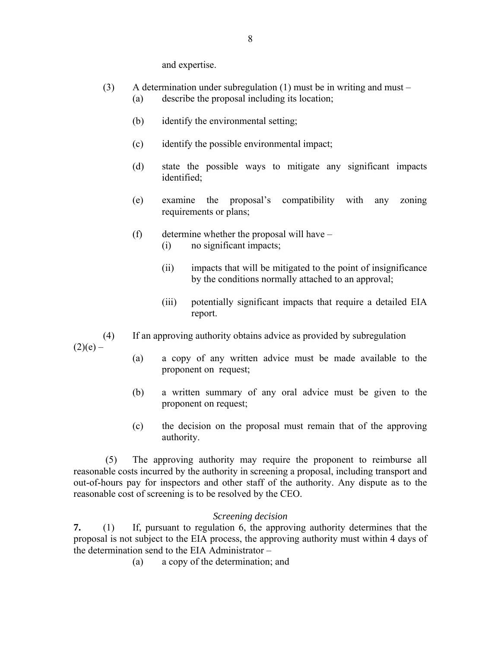and expertise.

- (3) A determination under subregulation (1) must be in writing and must (a) describe the proposal including its location;
	- (b) identify the environmental setting;
	- (c) identify the possible environmental impact;
	- (d) state the possible ways to mitigate any significant impacts identified;
	- (e) examine the proposal's compatibility with any zoning requirements or plans;
	- (f) determine whether the proposal will have
		- (i) no significant impacts;
		- (ii) impacts that will be mitigated to the point of insignificance by the conditions normally attached to an approval;
		- (iii) potentially significant impacts that require a detailed EIA report.
- (4) If an approving authority obtains advice as provided by subregulation

 $(2)(e) -$ 

- (a) a copy of any written advice must be made available to the proponent on request;
- (b) a written summary of any oral advice must be given to the proponent on request;
- (c) the decision on the proposal must remain that of the approving authority.

 (5) The approving authority may require the proponent to reimburse all reasonable costs incurred by the authority in screening a proposal, including transport and out-of-hours pay for inspectors and other staff of the authority. Any dispute as to the reasonable cost of screening is to be resolved by the CEO.

### *Screening decision*

**7.** (1) If, pursuant to regulation 6, the approving authority determines that the proposal is not subject to the EIA process, the approving authority must within 4 days of the determination send to the EIA Administrator –

(a) a copy of the determination; and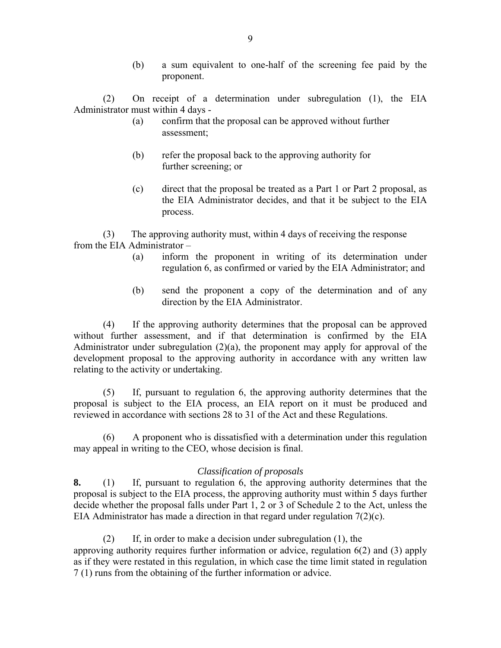(b) a sum equivalent to one-half of the screening fee paid by the proponent.

(2) On receipt of a determination under subregulation (1), the EIA Administrator must within 4 days -

- (a) confirm that the proposal can be approved without further assessment;
- (b) refer the proposal back to the approving authority for further screening; or
- (c) direct that the proposal be treated as a Part 1 or Part 2 proposal, as the EIA Administrator decides, and that it be subject to the EIA process.

(3) The approving authority must, within 4 days of receiving the response from the EIA Administrator –

- (a) inform the proponent in writing of its determination under regulation 6, as confirmed or varied by the EIA Administrator; and
- (b) send the proponent a copy of the determination and of any direction by the EIA Administrator.

(4) If the approving authority determines that the proposal can be approved without further assessment, and if that determination is confirmed by the EIA Administrator under subregulation (2)(a), the proponent may apply for approval of the development proposal to the approving authority in accordance with any written law relating to the activity or undertaking.

(5) If, pursuant to regulation 6, the approving authority determines that the proposal is subject to the EIA process, an EIA report on it must be produced and reviewed in accordance with sections 28 to 31 of the Act and these Regulations.

(6) A proponent who is dissatisfied with a determination under this regulation may appeal in writing to the CEO, whose decision is final.

### *Classification of proposals*

**8.** (1) If, pursuant to regulation 6, the approving authority determines that the proposal is subject to the EIA process, the approving authority must within 5 days further decide whether the proposal falls under Part 1, 2 or 3 of Schedule 2 to the Act, unless the EIA Administrator has made a direction in that regard under regulation  $7(2)(c)$ .

(2) If, in order to make a decision under subregulation (1), the approving authority requires further information or advice, regulation 6(2) and (3) apply as if they were restated in this regulation, in which case the time limit stated in regulation 7 (1) runs from the obtaining of the further information or advice.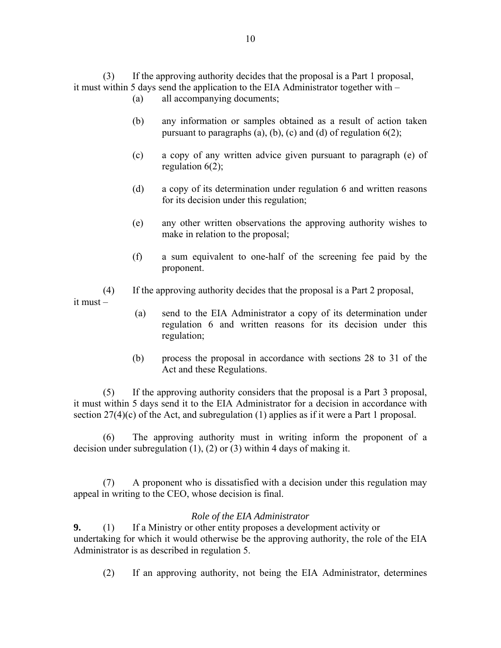(3) If the approving authority decides that the proposal is a Part 1 proposal, it must within 5 days send the application to the EIA Administrator together with –

- (a) all accompanying documents;
- (b) any information or samples obtained as a result of action taken pursuant to paragraphs (a), (b), (c) and (d) of regulation  $6(2)$ ;
- (c) a copy of any written advice given pursuant to paragraph (e) of regulation  $6(2)$ ;
- (d) a copy of its determination under regulation 6 and written reasons for its decision under this regulation;
- (e) any other written observations the approving authority wishes to make in relation to the proposal;
- (f) a sum equivalent to one-half of the screening fee paid by the proponent.
- (4) If the approving authority decides that the proposal is a Part 2 proposal,

it must –

- (a) send to the EIA Administrator a copy of its determination under regulation 6 and written reasons for its decision under this regulation;
- (b) process the proposal in accordance with sections 28 to 31 of the Act and these Regulations.

 (5) If the approving authority considers that the proposal is a Part 3 proposal, it must within 5 days send it to the EIA Administrator for a decision in accordance with section 27(4)(c) of the Act, and subregulation (1) applies as if it were a Part 1 proposal.

 (6) The approving authority must in writing inform the proponent of a decision under subregulation (1), (2) or (3) within 4 days of making it.

 (7) A proponent who is dissatisfied with a decision under this regulation may appeal in writing to the CEO, whose decision is final.

### *Role of the EIA Administrator*

**9.** (1) If a Ministry or other entity proposes a development activity or undertaking for which it would otherwise be the approving authority, the role of the EIA Administrator is as described in regulation 5.

(2) If an approving authority, not being the EIA Administrator, determines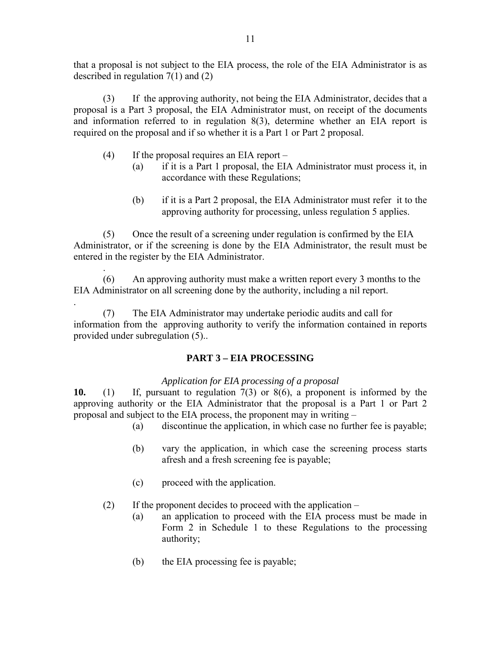that a proposal is not subject to the EIA process, the role of the EIA Administrator is as described in regulation 7(1) and (2)

(3) If the approving authority, not being the EIA Administrator, decides that a proposal is a Part 3 proposal, the EIA Administrator must, on receipt of the documents and information referred to in regulation 8(3), determine whether an EIA report is required on the proposal and if so whether it is a Part 1 or Part 2 proposal.

- $(4)$  If the proposal requires an EIA report
	- (a) if it is a Part 1 proposal, the EIA Administrator must process it, in accordance with these Regulations;
	- (b) if it is a Part 2 proposal, the EIA Administrator must refer it to the approving authority for processing, unless regulation 5 applies.

(5) Once the result of a screening under regulation is confirmed by the EIA Administrator, or if the screening is done by the EIA Administrator, the result must be entered in the register by the EIA Administrator.

. (6) An approving authority must make a written report every 3 months to the EIA Administrator on all screening done by the authority, including a nil report.

. (7) The EIA Administrator may undertake periodic audits and call for information from the approving authority to verify the information contained in reports provided under subregulation (5)..

### **PART 3 – EIA PROCESSING**

*Application for EIA processing of a proposal* 

**10.** (1) If, pursuant to regulation 7(3) or 8(6), a proponent is informed by the approving authority or the EIA Administrator that the proposal is a Part 1 or Part 2 proposal and subject to the EIA process, the proponent may in writing –

- (a) discontinue the application, in which case no further fee is payable;
- (b) vary the application, in which case the screening process starts afresh and a fresh screening fee is payable;
- (c) proceed with the application.

(2) If the proponent decides to proceed with the application –

- (a) an application to proceed with the EIA process must be made in Form 2 in Schedule 1 to these Regulations to the processing authority;
- (b) the EIA processing fee is payable;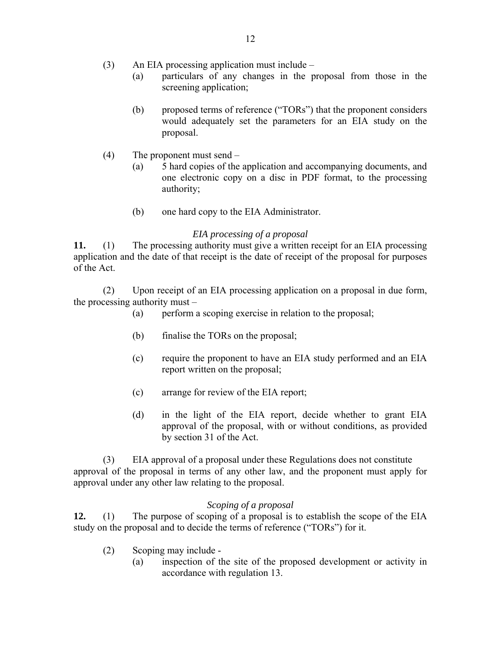- (3) An EIA processing application must include
	- (a) particulars of any changes in the proposal from those in the screening application;
	- (b) proposed terms of reference ("TORs") that the proponent considers would adequately set the parameters for an EIA study on the proposal.
- (4) The proponent must send
	- (a) 5 hard copies of the application and accompanying documents, and one electronic copy on a disc in PDF format, to the processing authority;
	- (b) one hard copy to the EIA Administrator.

### *EIA processing of a proposal*

**11.** (1) The processing authority must give a written receipt for an EIA processing application and the date of that receipt is the date of receipt of the proposal for purposes of the Act.

(2) Upon receipt of an EIA processing application on a proposal in due form, the processing authority must –

- (a) perform a scoping exercise in relation to the proposal;
- (b) finalise the TORs on the proposal;
- (c) require the proponent to have an EIA study performed and an EIA report written on the proposal;
- (c) arrange for review of the EIA report;
- (d) in the light of the EIA report, decide whether to grant EIA approval of the proposal, with or without conditions, as provided by section 31 of the Act.

(3) EIA approval of a proposal under these Regulations does not constitute approval of the proposal in terms of any other law, and the proponent must apply for approval under any other law relating to the proposal.

#### *Scoping of a proposal*

**12.** (1) The purpose of scoping of a proposal is to establish the scope of the EIA study on the proposal and to decide the terms of reference ("TORs") for it.

- (2) Scoping may include
	- (a) inspection of the site of the proposed development or activity in accordance with regulation 13.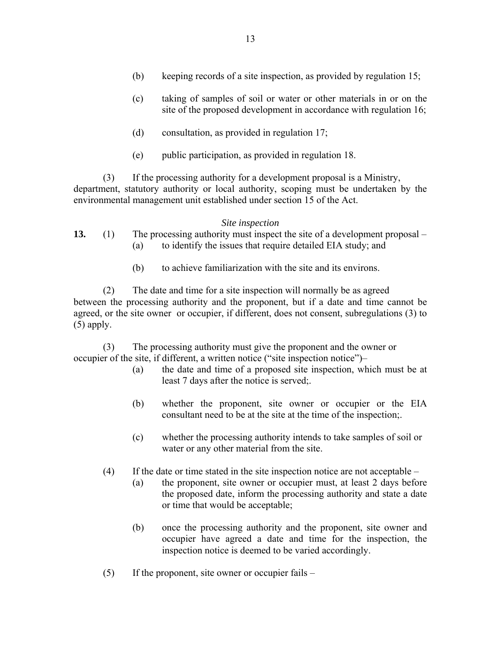- (b) keeping records of a site inspection, as provided by regulation 15;
- (c) taking of samples of soil or water or other materials in or on the site of the proposed development in accordance with regulation 16;
- (d) consultation, as provided in regulation 17;
- (e) public participation, as provided in regulation 18.

(3) If the processing authority for a development proposal is a Ministry, department, statutory authority or local authority, scoping must be undertaken by the environmental management unit established under section 15 of the Act.

#### *Site inspection*

- **13.** (1) The processing authority must inspect the site of a development proposal (a) to identify the issues that require detailed EIA study; and
	- (b) to achieve familiarization with the site and its environs.

(2) The date and time for a site inspection will normally be as agreed between the processing authority and the proponent, but if a date and time cannot be agreed, or the site owner or occupier, if different, does not consent, subregulations (3) to  $(5)$  apply.

(3) The processing authority must give the proponent and the owner or occupier of the site, if different, a written notice ("site inspection notice")–

- (a) the date and time of a proposed site inspection, which must be at least 7 days after the notice is served;.
- (b) whether the proponent, site owner or occupier or the EIA consultant need to be at the site at the time of the inspection;
- (c) whether the processing authority intends to take samples of soil or water or any other material from the site.
- (4) If the date or time stated in the site inspection notice are not acceptable
	- (a) the proponent, site owner or occupier must, at least 2 days before the proposed date, inform the processing authority and state a date or time that would be acceptable;
	- (b) once the processing authority and the proponent, site owner and occupier have agreed a date and time for the inspection, the inspection notice is deemed to be varied accordingly.
- (5) If the proponent, site owner or occupier fails –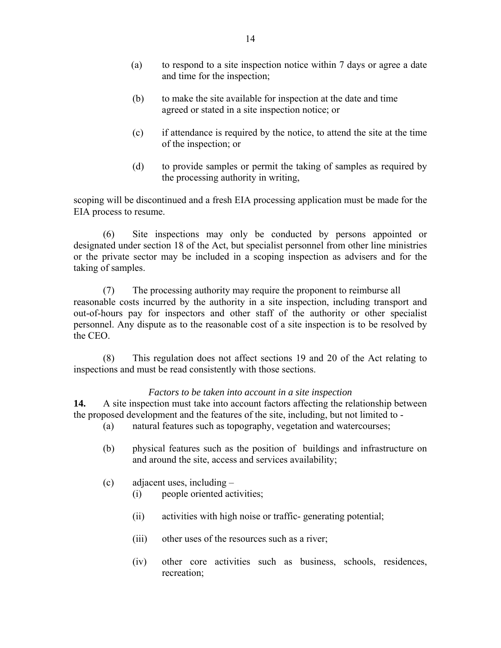- (a) to respond to a site inspection notice within 7 days or agree a date and time for the inspection;
- (b) to make the site available for inspection at the date and time agreed or stated in a site inspection notice; or
- (c) if attendance is required by the notice, to attend the site at the time of the inspection; or
- (d) to provide samples or permit the taking of samples as required by the processing authority in writing,

scoping will be discontinued and a fresh EIA processing application must be made for the EIA process to resume.

(6) Site inspections may only be conducted by persons appointed or designated under section 18 of the Act, but specialist personnel from other line ministries or the private sector may be included in a scoping inspection as advisers and for the taking of samples.

(7) The processing authority may require the proponent to reimburse all reasonable costs incurred by the authority in a site inspection, including transport and out-of-hours pay for inspectors and other staff of the authority or other specialist personnel. Any dispute as to the reasonable cost of a site inspection is to be resolved by the CEO.

(8) This regulation does not affect sections 19 and 20 of the Act relating to inspections and must be read consistently with those sections.

### *Factors to be taken into account in a site inspection*

**14.** A site inspection must take into account factors affecting the relationship between the proposed development and the features of the site, including, but not limited to -

- (a) natural features such as topography, vegetation and watercourses;
- (b) physical features such as the position of buildings and infrastructure on and around the site, access and services availability;
- (c) adjacent uses, including
	- (i) people oriented activities;
	- (ii) activities with high noise or traffic- generating potential;
	- (iii) other uses of the resources such as a river;
	- (iv) other core activities such as business, schools, residences, recreation;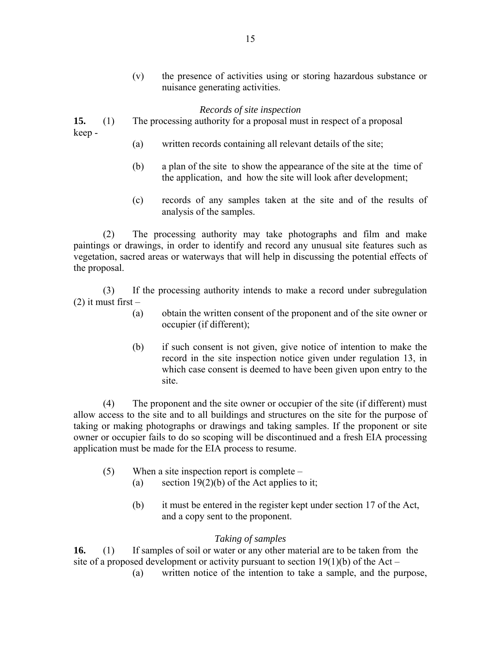(v) the presence of activities using or storing hazardous substance or nuisance generating activities.

#### *Records of site inspection*

**15.** (1) The processing authority for a proposal must in respect of a proposal keep -

- (a) written records containing all relevant details of the site;
- (b) a plan of the site to show the appearance of the site at the time of the application, and how the site will look after development;
- (c) records of any samples taken at the site and of the results of analysis of the samples.

(2) The processing authority may take photographs and film and make paintings or drawings, in order to identify and record any unusual site features such as vegetation, sacred areas or waterways that will help in discussing the potential effects of the proposal.

 (3) If the processing authority intends to make a record under subregulation  $(2)$  it must first –

- (a) obtain the written consent of the proponent and of the site owner or occupier (if different);
- (b) if such consent is not given, give notice of intention to make the record in the site inspection notice given under regulation 13, in which case consent is deemed to have been given upon entry to the site.

 (4) The proponent and the site owner or occupier of the site (if different) must allow access to the site and to all buildings and structures on the site for the purpose of taking or making photographs or drawings and taking samples. If the proponent or site owner or occupier fails to do so scoping will be discontinued and a fresh EIA processing application must be made for the EIA process to resume.

- (5) When a site inspection report is complete
	- (a) section  $19(2)(b)$  of the Act applies to it;
	- (b) it must be entered in the register kept under section 17 of the Act, and a copy sent to the proponent.

### *Taking of samples*

**16.** (1) If samples of soil or water or any other material are to be taken from the site of a proposed development or activity pursuant to section  $19(1)(b)$  of the Act –

(a) written notice of the intention to take a sample, and the purpose,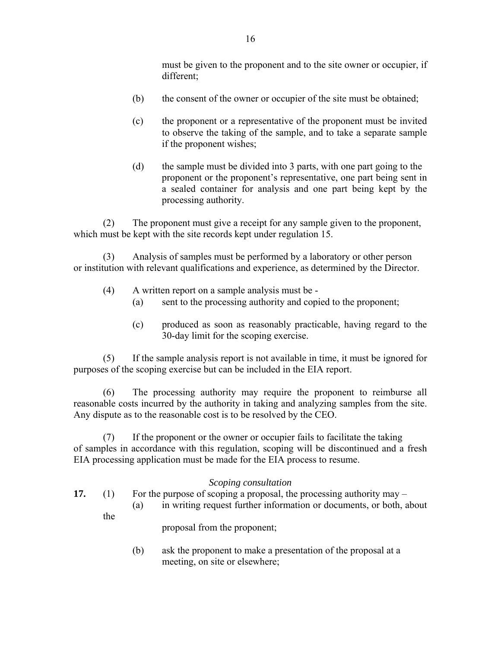must be given to the proponent and to the site owner or occupier, if different;

- (b) the consent of the owner or occupier of the site must be obtained;
- (c) the proponent or a representative of the proponent must be invited to observe the taking of the sample, and to take a separate sample if the proponent wishes;
- (d) the sample must be divided into 3 parts, with one part going to the proponent or the proponent's representative, one part being sent in a sealed container for analysis and one part being kept by the processing authority.

(2) The proponent must give a receipt for any sample given to the proponent, which must be kept with the site records kept under regulation 15.

(3) Analysis of samples must be performed by a laboratory or other person or institution with relevant qualifications and experience, as determined by the Director.

- (4) A written report on a sample analysis must be
	- (a) sent to the processing authority and copied to the proponent;
	- (c) produced as soon as reasonably practicable, having regard to the 30-day limit for the scoping exercise.

(5) If the sample analysis report is not available in time, it must be ignored for purposes of the scoping exercise but can be included in the EIA report.

(6) The processing authority may require the proponent to reimburse all reasonable costs incurred by the authority in taking and analyzing samples from the site. Any dispute as to the reasonable cost is to be resolved by the CEO.

(7) If the proponent or the owner or occupier fails to facilitate the taking of samples in accordance with this regulation, scoping will be discontinued and a fresh EIA processing application must be made for the EIA process to resume.

### *Scoping consultation*

- **17.** (1) For the purpose of scoping a proposal, the processing authority may
	- (a) in writing request further information or documents, or both, about

proposal from the proponent;

the

(b) ask the proponent to make a presentation of the proposal at a meeting, on site or elsewhere;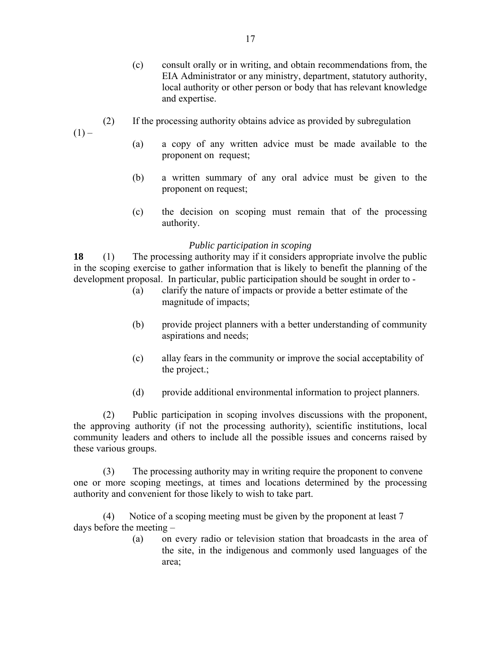- (c) consult orally or in writing, and obtain recommendations from, the EIA Administrator or any ministry, department, statutory authority, local authority or other person or body that has relevant knowledge and expertise.
- (2) If the processing authority obtains advice as provided by subregulation

 $(1) -$ 

- (a) a copy of any written advice must be made available to the proponent on request;
- (b) a written summary of any oral advice must be given to the proponent on request;
- (c) the decision on scoping must remain that of the processing authority.

### *Public participation in scoping*

**18** (1) The processing authority may if it considers appropriate involve the public in the scoping exercise to gather information that is likely to benefit the planning of the development proposal. In particular, public participation should be sought in order to -

- (a) clarify the nature of impacts or provide a better estimate of the magnitude of impacts;
- (b) provide project planners with a better understanding of community aspirations and needs;
- (c) allay fears in the community or improve the social acceptability of the project.;
- (d) provide additional environmental information to project planners.

(2) Public participation in scoping involves discussions with the proponent, the approving authority (if not the processing authority), scientific institutions, local community leaders and others to include all the possible issues and concerns raised by these various groups.

(3) The processing authority may in writing require the proponent to convene one or more scoping meetings, at times and locations determined by the processing authority and convenient for those likely to wish to take part.

(4) Notice of a scoping meeting must be given by the proponent at least 7 days before the meeting –

> (a) on every radio or television station that broadcasts in the area of the site, in the indigenous and commonly used languages of the area;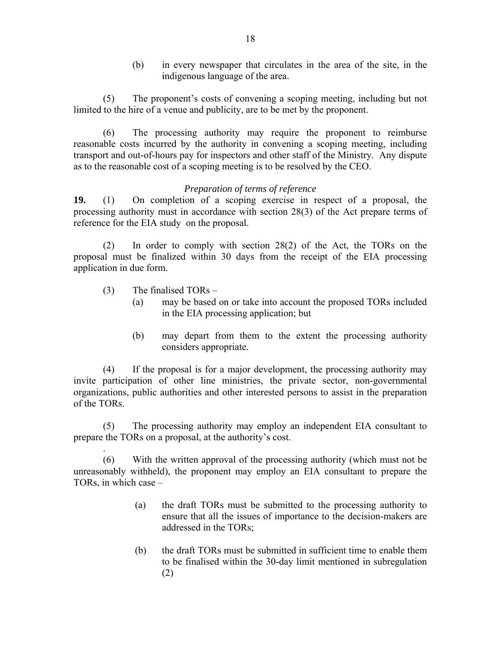(b) in every newspaper that circulates in the area of the site, in the indigenous language of the area.

(5) The proponent's costs of convening a scoping meeting, including but not limited to the hire of a venue and publicity, are to be met by the proponent.

(6) The processing authority may require the proponent to reimburse reasonable costs incurred by the authority in convening a scoping meeting, including transport and out-of-hours pay for inspectors and other staff of the Ministry. Any dispute as to the reasonable cost of a scoping meeting is to be resolved by the CEO.

### *Preparation of terms of reference*

**19.** (1) On completion of a scoping exercise in respect of a proposal, the processing authority must in accordance with section 28(3) of the Act prepare terms of reference for the EIA study on the proposal.

(2) In order to comply with section 28(2) of the Act, the TORs on the proposal must be finalized within 30 days from the receipt of the EIA processing application in due form.

(3) The finalised TORs –

.

- (a) may be based on or take into account the proposed TORs included in the EIA processing application; but
- (b) may depart from them to the extent the processing authority considers appropriate.

(4) If the proposal is for a major development, the processing authority may invite participation of other line ministries, the private sector, non-governmental organizations, public authorities and other interested persons to assist in the preparation of the TORs.

(5) The processing authority may employ an independent EIA consultant to prepare the TORs on a proposal, at the authority's cost.

(6) With the written approval of the processing authority (which must not be unreasonably withheld), the proponent may employ an EIA consultant to prepare the TORs, in which case –

- (a) the draft TORs must be submitted to the processing authority to ensure that all the issues of importance to the decision-makers are addressed in the TORs;
- (b) the draft TORs must be submitted in sufficient time to enable them to be finalised within the 30-day limit mentioned in subregulation (2)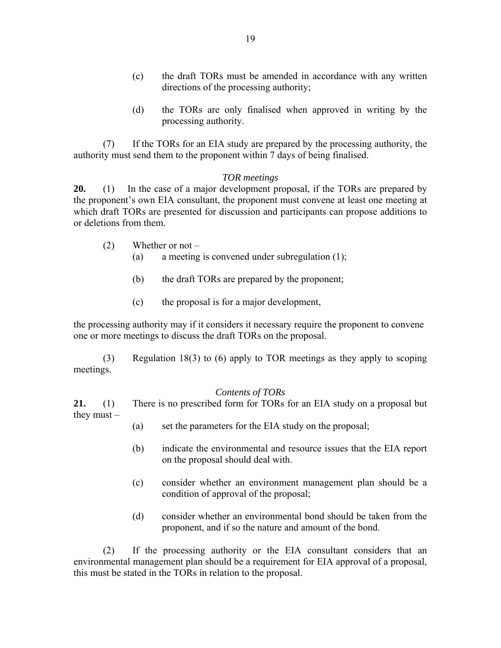- (c) the draft TORs must be amended in accordance with any written directions of the processing authority;
- (d) the TORs are only finalised when approved in writing by the processing authority.

 (7) If the TORs for an EIA study are prepared by the processing authority, the authority must send them to the proponent within 7 days of being finalised.

#### *TOR meetings*

**20.** (1) In the case of a major development proposal, if the TORs are prepared by the proponent's own EIA consultant, the proponent must convene at least one meeting at which draft TORs are presented for discussion and participants can propose additions to or deletions from them.

- (2) Whether or not
	- (a) a meeting is convened under subregulation (1);
	- (b) the draft TORs are prepared by the proponent;
	- (c) the proposal is for a major development,

the processing authority may if it considers it necessary require the proponent to convene one or more meetings to discuss the draft TORs on the proposal.

(3) Regulation 18(3) to (6) apply to TOR meetings as they apply to scoping meetings.

#### *Contents of TORs*

**21.** (1) There is no prescribed form for TORs for an EIA study on a proposal but they must –

- (a) set the parameters for the EIA study on the proposal;
- (b) indicate the environmental and resource issues that the EIA report on the proposal should deal with.
- (c) consider whether an environment management plan should be a condition of approval of the proposal;
- (d) consider whether an environmental bond should be taken from the proponent, and if so the nature and amount of the bond.

 (2) If the processing authority or the EIA consultant considers that an environmental management plan should be a requirement for EIA approval of a proposal, this must be stated in the TORs in relation to the proposal.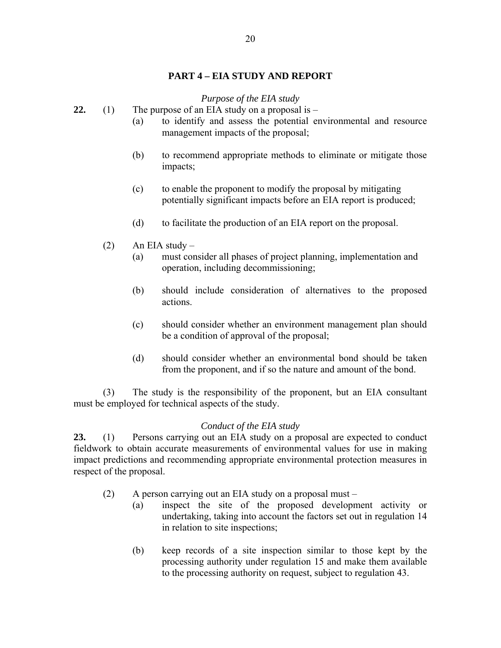### **PART 4 – EIA STUDY AND REPORT**

### *Purpose of the EIA study*

- **22.** (1) The purpose of an EIA study on a proposal is
	- (a) to identify and assess the potential environmental and resource management impacts of the proposal;
	- (b) to recommend appropriate methods to eliminate or mitigate those impacts;
	- (c) to enable the proponent to modify the proposal by mitigating potentially significant impacts before an EIA report is produced;
	- (d) to facilitate the production of an EIA report on the proposal.
	- $(2)$  An EIA study
		- (a) must consider all phases of project planning, implementation and operation, including decommissioning;
		- (b) should include consideration of alternatives to the proposed actions.
		- (c) should consider whether an environment management plan should be a condition of approval of the proposal;
		- (d) should consider whether an environmental bond should be taken from the proponent, and if so the nature and amount of the bond.

(3) The study is the responsibility of the proponent, but an EIA consultant must be employed for technical aspects of the study.

### *Conduct of the EIA study*

**23.** (1) Persons carrying out an EIA study on a proposal are expected to conduct fieldwork to obtain accurate measurements of environmental values for use in making impact predictions and recommending appropriate environmental protection measures in respect of the proposal.

- (2) A person carrying out an EIA study on a proposal must
	- (a) inspect the site of the proposed development activity or undertaking, taking into account the factors set out in regulation 14 in relation to site inspections;
	- (b) keep records of a site inspection similar to those kept by the processing authority under regulation 15 and make them available to the processing authority on request, subject to regulation 43.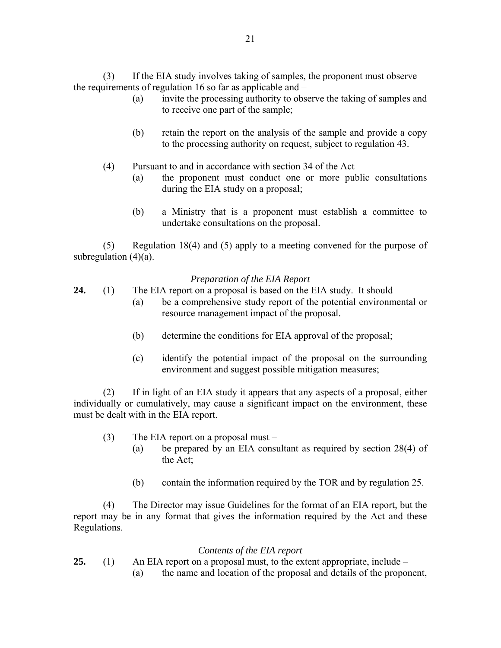(3) If the EIA study involves taking of samples, the proponent must observe the requirements of regulation 16 so far as applicable and –

- (a) invite the processing authority to observe the taking of samples and to receive one part of the sample;
- (b) retain the report on the analysis of the sample and provide a copy to the processing authority on request, subject to regulation 43.
- (4) Pursuant to and in accordance with section 34 of the Act
	- (a) the proponent must conduct one or more public consultations during the EIA study on a proposal;
	- (b) a Ministry that is a proponent must establish a committee to undertake consultations on the proposal.

(5) Regulation 18(4) and (5) apply to a meeting convened for the purpose of subregulation  $(4)(a)$ .

### *Preparation of the EIA Report*

- **24.** (1) The EIA report on a proposal is based on the EIA study. It should
	- (a) be a comprehensive study report of the potential environmental or resource management impact of the proposal.
	- (b) determine the conditions for EIA approval of the proposal;
	- (c) identify the potential impact of the proposal on the surrounding environment and suggest possible mitigation measures;

(2) If in light of an EIA study it appears that any aspects of a proposal, either individually or cumulatively, may cause a significant impact on the environment, these must be dealt with in the EIA report.

- (3) The EIA report on a proposal must
	- (a) be prepared by an EIA consultant as required by section 28(4) of the Act;
	- (b) contain the information required by the TOR and by regulation 25.

(4) The Director may issue Guidelines for the format of an EIA report, but the report may be in any format that gives the information required by the Act and these Regulations.

### *Contents of the EIA report*

- **25.** (1) An EIA report on a proposal must, to the extent appropriate, include
	- (a) the name and location of the proposal and details of the proponent,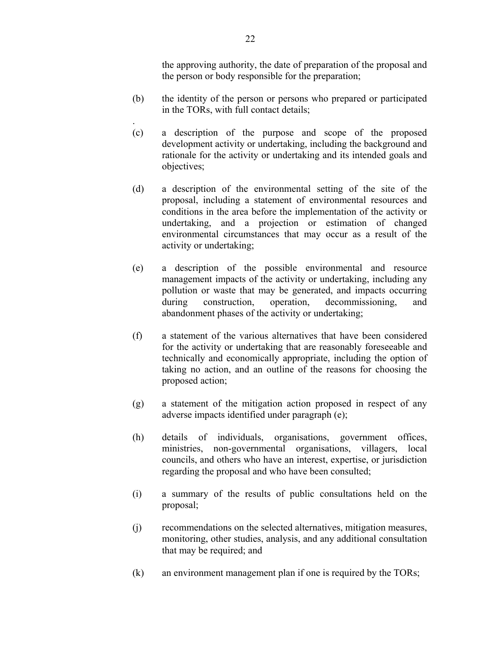the approving authority, the date of preparation of the proposal and the person or body responsible for the preparation;

- (b) the identity of the person or persons who prepared or participated in the TORs, with full contact details;
- (c) a description of the purpose and scope of the proposed development activity or undertaking, including the background and rationale for the activity or undertaking and its intended goals and objectives;
- (d) a description of the environmental setting of the site of the proposal, including a statement of environmental resources and conditions in the area before the implementation of the activity or undertaking, and a projection or estimation of changed environmental circumstances that may occur as a result of the activity or undertaking;
- (e) a description of the possible environmental and resource management impacts of the activity or undertaking, including any pollution or waste that may be generated, and impacts occurring during construction, operation, decommissioning, and abandonment phases of the activity or undertaking;
- (f) a statement of the various alternatives that have been considered for the activity or undertaking that are reasonably foreseeable and technically and economically appropriate, including the option of taking no action, and an outline of the reasons for choosing the proposed action;
- (g) a statement of the mitigation action proposed in respect of any adverse impacts identified under paragraph (e);
- (h) details of individuals, organisations, government offices, ministries, non-governmental organisations, villagers, local councils, and others who have an interest, expertise, or jurisdiction regarding the proposal and who have been consulted;
- (i) a summary of the results of public consultations held on the proposal;
- (j) recommendations on the selected alternatives, mitigation measures, monitoring, other studies, analysis, and any additional consultation that may be required; and
- (k) an environment management plan if one is required by the TORs;

.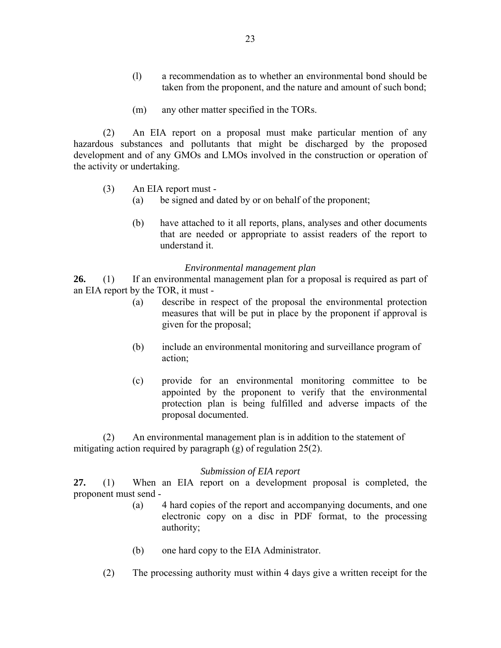- (l) a recommendation as to whether an environmental bond should be taken from the proponent, and the nature and amount of such bond;
- (m) any other matter specified in the TORs.

(2) An EIA report on a proposal must make particular mention of any hazardous substances and pollutants that might be discharged by the proposed development and of any GMOs and LMOs involved in the construction or operation of the activity or undertaking.

- (3) An EIA report must
	- (a) be signed and dated by or on behalf of the proponent;
	- (b) have attached to it all reports, plans, analyses and other documents that are needed or appropriate to assist readers of the report to understand it.

#### *Environmental management plan*

**26.** (1) If an environmental management plan for a proposal is required as part of an EIA report by the TOR, it must -

- (a) describe in respect of the proposal the environmental protection measures that will be put in place by the proponent if approval is given for the proposal;
- (b) include an environmental monitoring and surveillance program of action;
- (c) provide for an environmental monitoring committee to be appointed by the proponent to verify that the environmental protection plan is being fulfilled and adverse impacts of the proposal documented.

(2) An environmental management plan is in addition to the statement of mitigating action required by paragraph (g) of regulation 25(2).

#### *Submission of EIA report*

**27.** (1) When an EIA report on a development proposal is completed, the proponent must send -

- (a) 4 hard copies of the report and accompanying documents, and one electronic copy on a disc in PDF format, to the processing authority;
- (b) one hard copy to the EIA Administrator.
- (2) The processing authority must within 4 days give a written receipt for the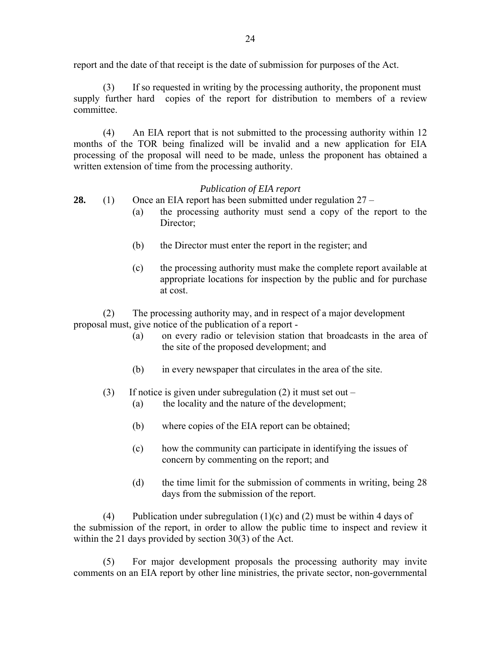report and the date of that receipt is the date of submission for purposes of the Act.

(3) If so requested in writing by the processing authority, the proponent must supply further hard copies of the report for distribution to members of a review committee.

(4) An EIA report that is not submitted to the processing authority within 12 months of the TOR being finalized will be invalid and a new application for EIA processing of the proposal will need to be made, unless the proponent has obtained a written extension of time from the processing authority.

### *Publication of EIA report*

**28.** (1) Once an EIA report has been submitted under regulation 27 –

- (a) the processing authority must send a copy of the report to the Director;
- (b) the Director must enter the report in the register; and
- (c) the processing authority must make the complete report available at appropriate locations for inspection by the public and for purchase at cost.

(2) The processing authority may, and in respect of a major development proposal must, give notice of the publication of a report -

- (a) on every radio or television station that broadcasts in the area of the site of the proposed development; and
- (b) in every newspaper that circulates in the area of the site.

(3) If notice is given under subregulation (2) it must set out –

- (a) the locality and the nature of the development;
- (b) where copies of the EIA report can be obtained;
- (c) how the community can participate in identifying the issues of concern by commenting on the report; and
- (d) the time limit for the submission of comments in writing, being 28 days from the submission of the report.

(4) Publication under subregulation  $(1)(c)$  and  $(2)$  must be within 4 days of the submission of the report, in order to allow the public time to inspect and review it within the 21 days provided by section 30(3) of the Act.

(5) For major development proposals the processing authority may invite comments on an EIA report by other line ministries, the private sector, non-governmental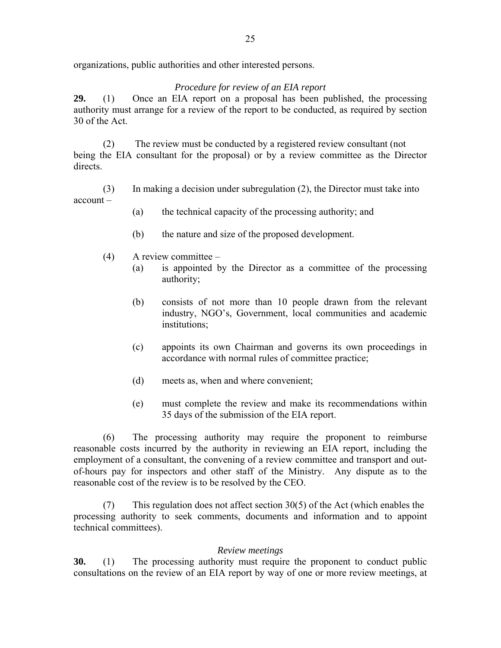organizations, public authorities and other interested persons.

### *Procedure for review of an EIA report*

**29.** (1) Once an EIA report on a proposal has been published, the processing authority must arrange for a review of the report to be conducted, as required by section 30 of the Act.

(2) The review must be conducted by a registered review consultant (not being the EIA consultant for the proposal) or by a review committee as the Director directs.

(3) In making a decision under subregulation (2), the Director must take into account –

- (a) the technical capacity of the processing authority; and
- (b) the nature and size of the proposed development.
- $(4)$  A review committee
	- (a) is appointed by the Director as a committee of the processing authority;
	- (b) consists of not more than 10 people drawn from the relevant industry, NGO's, Government, local communities and academic institutions;
	- (c) appoints its own Chairman and governs its own proceedings in accordance with normal rules of committee practice;
	- (d) meets as, when and where convenient;
	- (e) must complete the review and make its recommendations within 35 days of the submission of the EIA report.

(6) The processing authority may require the proponent to reimburse reasonable costs incurred by the authority in reviewing an EIA report, including the employment of a consultant, the convening of a review committee and transport and outof-hours pay for inspectors and other staff of the Ministry. Any dispute as to the reasonable cost of the review is to be resolved by the CEO.

(7) This regulation does not affect section 30(5) of the Act (which enables the processing authority to seek comments, documents and information and to appoint technical committees).

### *Review meetings*

**30.** (1) The processing authority must require the proponent to conduct public consultations on the review of an EIA report by way of one or more review meetings, at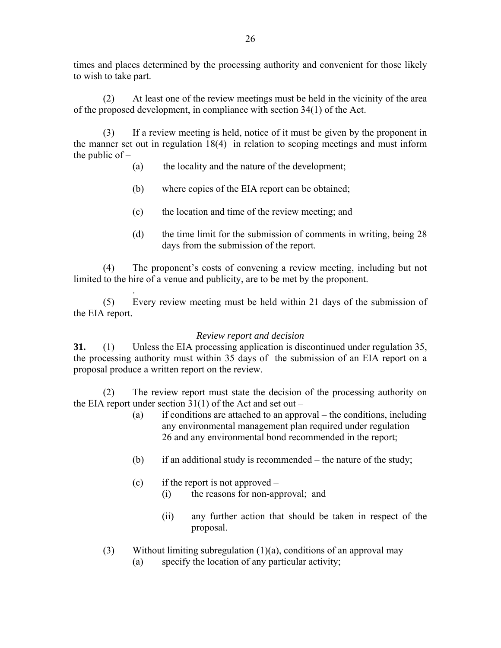times and places determined by the processing authority and convenient for those likely to wish to take part.

 (2) At least one of the review meetings must be held in the vicinity of the area of the proposed development, in compliance with section 34(1) of the Act.

(3) If a review meeting is held, notice of it must be given by the proponent in the manner set out in regulation 18(4) in relation to scoping meetings and must inform the public of –

- (a) the locality and the nature of the development;
- (b) where copies of the EIA report can be obtained;
- (c) the location and time of the review meeting; and
- (d) the time limit for the submission of comments in writing, being 28 days from the submission of the report.

(4) The proponent's costs of convening a review meeting, including but not limited to the hire of a venue and publicity, are to be met by the proponent.

. (5) Every review meeting must be held within 21 days of the submission of the EIA report.

### *Review report and decision*

**31.** (1) Unless the EIA processing application is discontinued under regulation 35, the processing authority must within 35 days of the submission of an EIA report on a proposal produce a written report on the review.

(2) The review report must state the decision of the processing authority on the EIA report under section  $31(1)$  of the Act and set out –

- (a) if conditions are attached to an approval the conditions, including any environmental management plan required under regulation 26 and any environmental bond recommended in the report;
- (b) if an additional study is recommended the nature of the study;
- (c) if the report is not approved  $-$ 
	- (i) the reasons for non-approval; and
	- (ii) any further action that should be taken in respect of the proposal.
- (3) Without limiting subregulation (1)(a), conditions of an approval may
	- (a) specify the location of any particular activity;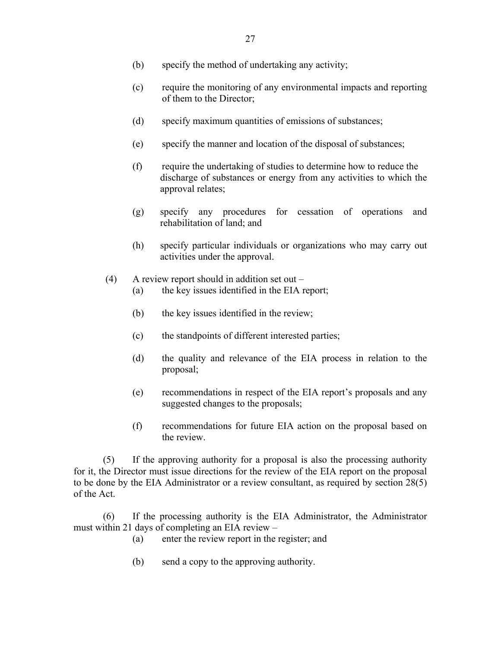- (b) specify the method of undertaking any activity;
- (c) require the monitoring of any environmental impacts and reporting of them to the Director;
- (d) specify maximum quantities of emissions of substances;
- (e) specify the manner and location of the disposal of substances;
- (f) require the undertaking of studies to determine how to reduce the discharge of substances or energy from any activities to which the approval relates;
- (g) specify any procedures for cessation of operations and rehabilitation of land; and
- (h) specify particular individuals or organizations who may carry out activities under the approval.
- (4) A review report should in addition set out
	- (a) the key issues identified in the EIA report;
	- (b) the key issues identified in the review;
	- (c) the standpoints of different interested parties;
	- (d) the quality and relevance of the EIA process in relation to the proposal;
	- (e) recommendations in respect of the EIA report's proposals and any suggested changes to the proposals;
	- (f) recommendations for future EIA action on the proposal based on the review.

(5) If the approving authority for a proposal is also the processing authority for it, the Director must issue directions for the review of the EIA report on the proposal to be done by the EIA Administrator or a review consultant, as required by section 28(5) of the Act.

(6) If the processing authority is the EIA Administrator, the Administrator must within 21 days of completing an EIA review –

- (a) enter the review report in the register; and
- (b) send a copy to the approving authority.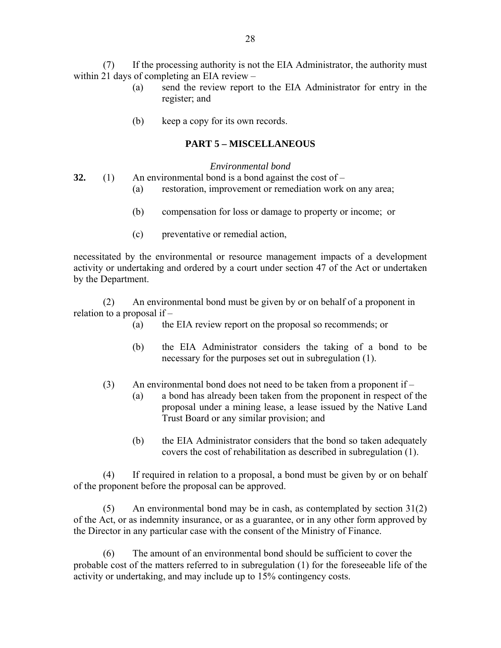(7) If the processing authority is not the EIA Administrator, the authority must within 21 days of completing an EIA review –

- (a) send the review report to the EIA Administrator for entry in the register; and
- (b) keep a copy for its own records.

### **PART 5 – MISCELLANEOUS**

#### *Environmental bond*

32. (1) An environmental bond is a bond against the cost of 
$$
-
$$

- (a) restoration, improvement or remediation work on any area;
- (b) compensation for loss or damage to property or income; or
- (c) preventative or remedial action,

necessitated by the environmental or resource management impacts of a development activity or undertaking and ordered by a court under section 47 of the Act or undertaken by the Department.

(2) An environmental bond must be given by or on behalf of a proponent in relation to a proposal if –

- (a) the EIA review report on the proposal so recommends; or
- (b) the EIA Administrator considers the taking of a bond to be necessary for the purposes set out in subregulation (1).
- (3) An environmental bond does not need to be taken from a proponent if
	- (a) a bond has already been taken from the proponent in respect of the proposal under a mining lease, a lease issued by the Native Land Trust Board or any similar provision; and
	- (b) the EIA Administrator considers that the bond so taken adequately covers the cost of rehabilitation as described in subregulation (1).

(4) If required in relation to a proposal, a bond must be given by or on behalf of the proponent before the proposal can be approved.

(5) An environmental bond may be in cash, as contemplated by section 31(2) of the Act, or as indemnity insurance, or as a guarantee, or in any other form approved by the Director in any particular case with the consent of the Ministry of Finance.

(6) The amount of an environmental bond should be sufficient to cover the probable cost of the matters referred to in subregulation (1) for the foreseeable life of the activity or undertaking, and may include up to 15% contingency costs.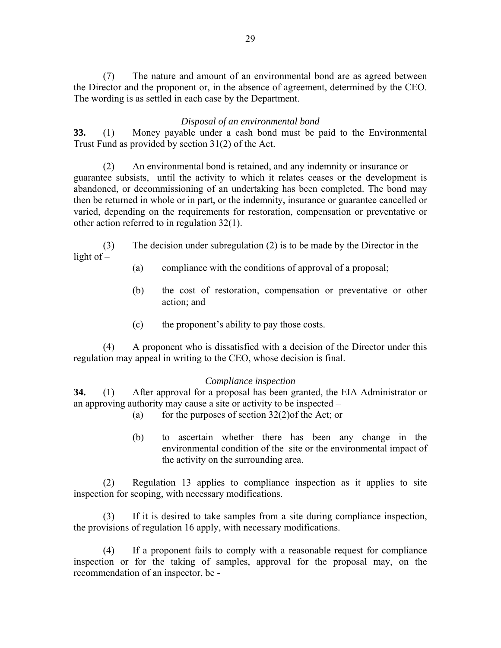(7) The nature and amount of an environmental bond are as agreed between the Director and the proponent or, in the absence of agreement, determined by the CEO. The wording is as settled in each case by the Department.

### *Disposal of an environmental bond*

**33.** (1) Money payable under a cash bond must be paid to the Environmental Trust Fund as provided by section 31(2) of the Act.

(2) An environmental bond is retained, and any indemnity or insurance or guarantee subsists, until the activity to which it relates ceases or the development is abandoned, or decommissioning of an undertaking has been completed. The bond may then be returned in whole or in part, or the indemnity, insurance or guarantee cancelled or varied, depending on the requirements for restoration, compensation or preventative or other action referred to in regulation 32(1).

(3) The decision under subregulation (2) is to be made by the Director in the light of –

- (a) compliance with the conditions of approval of a proposal;
- (b) the cost of restoration, compensation or preventative or other action; and
- (c) the proponent's ability to pay those costs.

(4) A proponent who is dissatisfied with a decision of the Director under this regulation may appeal in writing to the CEO, whose decision is final.

#### *Compliance inspection*

**34.** (1) After approval for a proposal has been granted, the EIA Administrator or an approving authority may cause a site or activity to be inspected –

- (a) for the purposes of section  $32(2)$  of the Act; or
- (b) to ascertain whether there has been any change in the environmental condition of the site or the environmental impact of the activity on the surrounding area.

(2) Regulation 13 applies to compliance inspection as it applies to site inspection for scoping, with necessary modifications.

(3) If it is desired to take samples from a site during compliance inspection, the provisions of regulation 16 apply, with necessary modifications.

(4) If a proponent fails to comply with a reasonable request for compliance inspection or for the taking of samples, approval for the proposal may, on the recommendation of an inspector, be -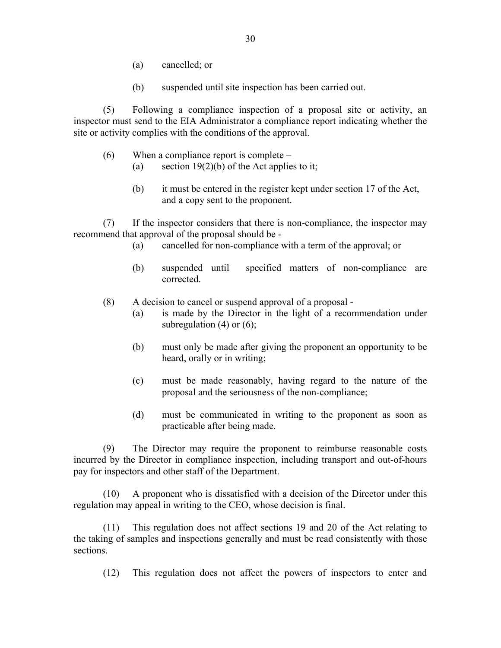- (a) cancelled; or
- (b) suspended until site inspection has been carried out.

(5) Following a compliance inspection of a proposal site or activity, an inspector must send to the EIA Administrator a compliance report indicating whether the site or activity complies with the conditions of the approval.

- (6) When a compliance report is complete
	- (a) section  $19(2)(b)$  of the Act applies to it;
	- (b) it must be entered in the register kept under section 17 of the Act, and a copy sent to the proponent.

(7) If the inspector considers that there is non-compliance, the inspector may recommend that approval of the proposal should be -

- (a) cancelled for non-compliance with a term of the approval; or
- (b) suspended until specified matters of non-compliance are corrected.
- (8) A decision to cancel or suspend approval of a proposal
	- (a) is made by the Director in the light of a recommendation under subregulation  $(4)$  or  $(6)$ ;
	- (b) must only be made after giving the proponent an opportunity to be heard, orally or in writing;
	- (c) must be made reasonably, having regard to the nature of the proposal and the seriousness of the non-compliance;
	- (d) must be communicated in writing to the proponent as soon as practicable after being made.

(9) The Director may require the proponent to reimburse reasonable costs incurred by the Director in compliance inspection, including transport and out-of-hours pay for inspectors and other staff of the Department.

(10) A proponent who is dissatisfied with a decision of the Director under this regulation may appeal in writing to the CEO, whose decision is final.

(11) This regulation does not affect sections 19 and 20 of the Act relating to the taking of samples and inspections generally and must be read consistently with those sections.

(12) This regulation does not affect the powers of inspectors to enter and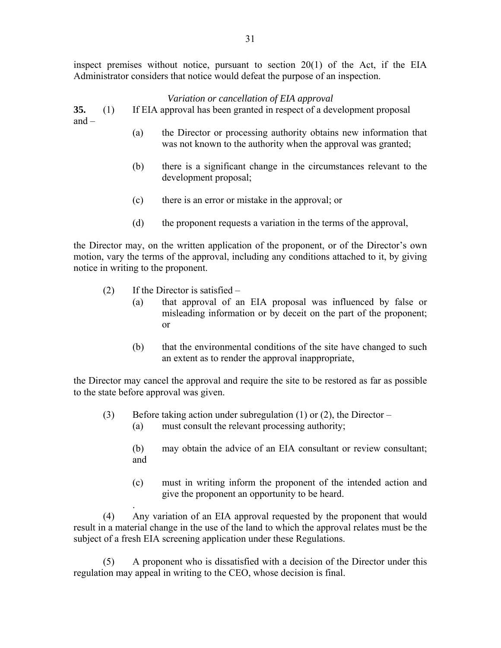inspect premises without notice, pursuant to section 20(1) of the Act, if the EIA Administrator considers that notice would defeat the purpose of an inspection.

### *Variation or cancellation of EIA approval*

**35.** (1) If EIA approval has been granted in respect of a development proposal and –

- (a) the Director or processing authority obtains new information that was not known to the authority when the approval was granted;
- (b) there is a significant change in the circumstances relevant to the development proposal;
- (c) there is an error or mistake in the approval; or
- (d) the proponent requests a variation in the terms of the approval,

the Director may, on the written application of the proponent, or of the Director's own motion, vary the terms of the approval, including any conditions attached to it, by giving notice in writing to the proponent.

(2) If the Director is satisfied  $-$ 

.

- (a) that approval of an EIA proposal was influenced by false or misleading information or by deceit on the part of the proponent; or
- (b) that the environmental conditions of the site have changed to such an extent as to render the approval inappropriate,

the Director may cancel the approval and require the site to be restored as far as possible to the state before approval was given.

- (3) Before taking action under subregulation (1) or (2), the Director
	- (a) must consult the relevant processing authority;
	- (b) may obtain the advice of an EIA consultant or review consultant; and
	- (c) must in writing inform the proponent of the intended action and give the proponent an opportunity to be heard.

(4) Any variation of an EIA approval requested by the proponent that would result in a material change in the use of the land to which the approval relates must be the subject of a fresh EIA screening application under these Regulations.

(5) A proponent who is dissatisfied with a decision of the Director under this regulation may appeal in writing to the CEO, whose decision is final.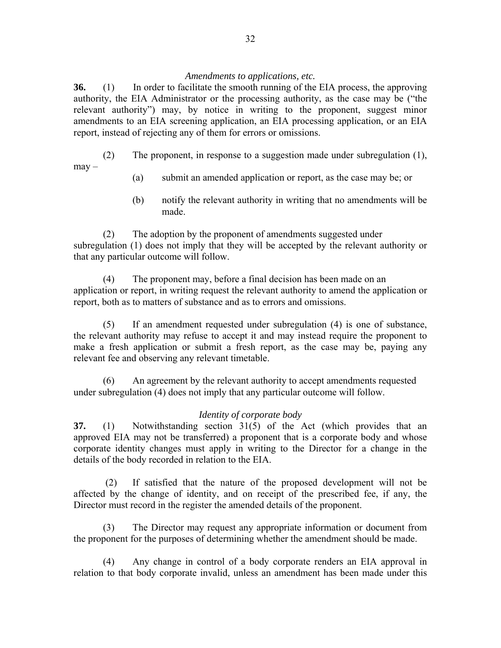#### *Amendments to applications, etc.*

**36.** (1) In order to facilitate the smooth running of the EIA process, the approving authority, the EIA Administrator or the processing authority, as the case may be ("the relevant authority") may, by notice in writing to the proponent, suggest minor amendments to an EIA screening application, an EIA processing application, or an EIA report, instead of rejecting any of them for errors or omissions.

(2) The proponent, in response to a suggestion made under subregulation (1),

 $may -$ 

- (a) submit an amended application or report, as the case may be; or
- (b) notify the relevant authority in writing that no amendments will be made.

(2) The adoption by the proponent of amendments suggested under subregulation (1) does not imply that they will be accepted by the relevant authority or that any particular outcome will follow.

(4) The proponent may, before a final decision has been made on an application or report, in writing request the relevant authority to amend the application or report, both as to matters of substance and as to errors and omissions.

 (5) If an amendment requested under subregulation (4) is one of substance, the relevant authority may refuse to accept it and may instead require the proponent to make a fresh application or submit a fresh report, as the case may be, paying any relevant fee and observing any relevant timetable.

(6) An agreement by the relevant authority to accept amendments requested under subregulation (4) does not imply that any particular outcome will follow.

### *Identity of corporate body*

**37.** (1) Notwithstanding section 31(5) of the Act (which provides that an approved EIA may not be transferred) a proponent that is a corporate body and whose corporate identity changes must apply in writing to the Director for a change in the details of the body recorded in relation to the EIA.

 (2) If satisfied that the nature of the proposed development will not be affected by the change of identity, and on receipt of the prescribed fee, if any, the Director must record in the register the amended details of the proponent.

(3) The Director may request any appropriate information or document from the proponent for the purposes of determining whether the amendment should be made.

(4) Any change in control of a body corporate renders an EIA approval in relation to that body corporate invalid, unless an amendment has been made under this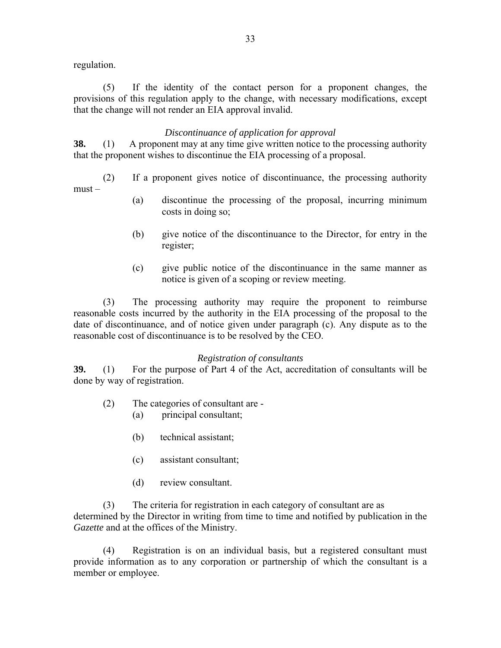regulation.

(5) If the identity of the contact person for a proponent changes, the provisions of this regulation apply to the change, with necessary modifications, except that the change will not render an EIA approval invalid.

### *Discontinuance of application for approval*

**38.** (1) A proponent may at any time give written notice to the processing authority that the proponent wishes to discontinue the EIA processing of a proposal.

- (2) If a proponent gives notice of discontinuance, the processing authority must –
	- (a) discontinue the processing of the proposal, incurring minimum costs in doing so;
	- (b) give notice of the discontinuance to the Director, for entry in the register;
	- (c) give public notice of the discontinuance in the same manner as notice is given of a scoping or review meeting.

(3) The processing authority may require the proponent to reimburse reasonable costs incurred by the authority in the EIA processing of the proposal to the date of discontinuance, and of notice given under paragraph (c). Any dispute as to the reasonable cost of discontinuance is to be resolved by the CEO.

### *Registration of consultants*

**39.** (1) For the purpose of Part 4 of the Act, accreditation of consultants will be done by way of registration.

- (2) The categories of consultant are
	- (a) principal consultant;
	- (b) technical assistant;
	- (c) assistant consultant;
	- (d) review consultant.

(3) The criteria for registration in each category of consultant are as determined by the Director in writing from time to time and notified by publication in the *Gazette* and at the offices of the Ministry.

(4) Registration is on an individual basis, but a registered consultant must provide information as to any corporation or partnership of which the consultant is a member or employee.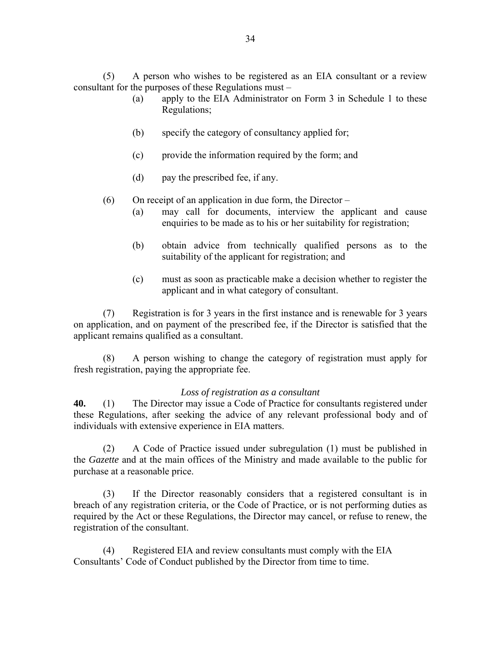(5) A person who wishes to be registered as an EIA consultant or a review consultant for the purposes of these Regulations must –

- (a) apply to the EIA Administrator on Form 3 in Schedule 1 to these Regulations;
- (b) specify the category of consultancy applied for;
- (c) provide the information required by the form; and
- (d) pay the prescribed fee, if any.

(6) On receipt of an application in due form, the Director –

- (a) may call for documents, interview the applicant and cause enquiries to be made as to his or her suitability for registration;
- (b) obtain advice from technically qualified persons as to the suitability of the applicant for registration; and
- (c) must as soon as practicable make a decision whether to register the applicant and in what category of consultant.

 (7) Registration is for 3 years in the first instance and is renewable for 3 years on application, and on payment of the prescribed fee, if the Director is satisfied that the applicant remains qualified as a consultant.

 (8) A person wishing to change the category of registration must apply for fresh registration, paying the appropriate fee.

#### *Loss of registration as a consultant*

**40.** (1) The Director may issue a Code of Practice for consultants registered under these Regulations, after seeking the advice of any relevant professional body and of individuals with extensive experience in EIA matters.

(2) A Code of Practice issued under subregulation (1) must be published in the *Gazette* and at the main offices of the Ministry and made available to the public for purchase at a reasonable price.

(3) If the Director reasonably considers that a registered consultant is in breach of any registration criteria, or the Code of Practice, or is not performing duties as required by the Act or these Regulations, the Director may cancel, or refuse to renew, the registration of the consultant.

(4) Registered EIA and review consultants must comply with the EIA Consultants' Code of Conduct published by the Director from time to time.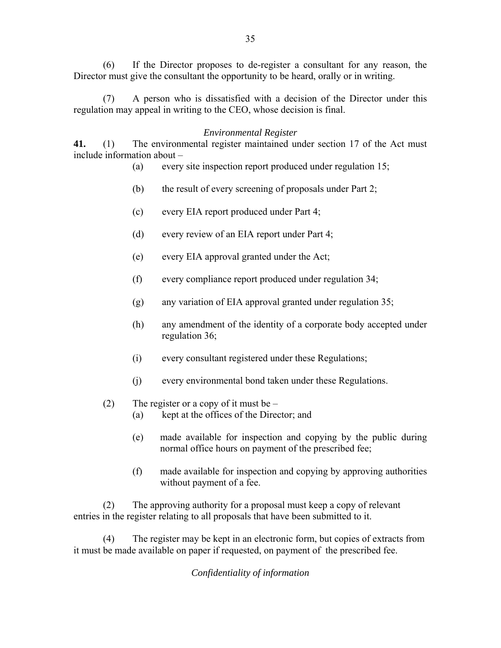(6) If the Director proposes to de-register a consultant for any reason, the Director must give the consultant the opportunity to be heard, orally or in writing.

(7) A person who is dissatisfied with a decision of the Director under this regulation may appeal in writing to the CEO, whose decision is final.

#### *Environmental Register*

**41.** (1) The environmental register maintained under section 17 of the Act must include information about –

- (a) every site inspection report produced under regulation 15;
- (b) the result of every screening of proposals under Part 2;
- (c) every EIA report produced under Part 4;
- (d) every review of an EIA report under Part 4;
- (e) every EIA approval granted under the Act;
- (f) every compliance report produced under regulation 34;
- (g) any variation of EIA approval granted under regulation 35;
- (h) any amendment of the identity of a corporate body accepted under regulation 36;
- (i) every consultant registered under these Regulations;
- (j) every environmental bond taken under these Regulations.
- (2) The register or a copy of it must be  $-$ 
	- (a) kept at the offices of the Director; and
	- (e) made available for inspection and copying by the public during normal office hours on payment of the prescribed fee;
	- (f) made available for inspection and copying by approving authorities without payment of a fee.

(2) The approving authority for a proposal must keep a copy of relevant entries in the register relating to all proposals that have been submitted to it.

(4) The register may be kept in an electronic form, but copies of extracts from it must be made available on paper if requested, on payment of the prescribed fee.

*Confidentiality of information*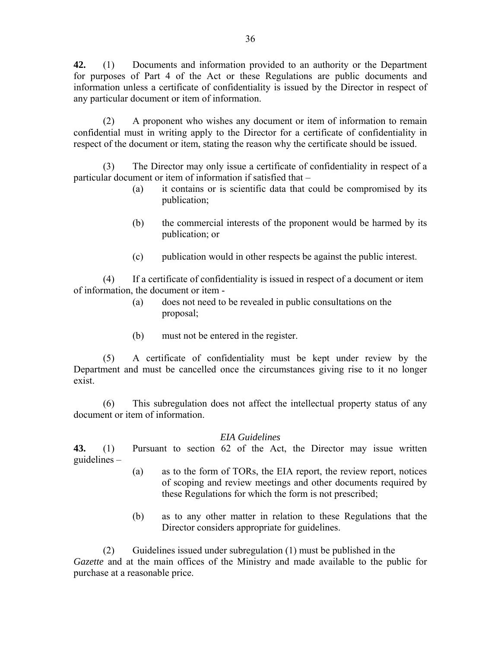**42.** (1) Documents and information provided to an authority or the Department for purposes of Part 4 of the Act or these Regulations are public documents and information unless a certificate of confidentiality is issued by the Director in respect of any particular document or item of information.

(2) A proponent who wishes any document or item of information to remain confidential must in writing apply to the Director for a certificate of confidentiality in respect of the document or item, stating the reason why the certificate should be issued.

(3) The Director may only issue a certificate of confidentiality in respect of a particular document or item of information if satisfied that –

- (a) it contains or is scientific data that could be compromised by its publication;
- (b) the commercial interests of the proponent would be harmed by its publication; or
- (c) publication would in other respects be against the public interest.

(4) If a certificate of confidentiality is issued in respect of a document or item of information, the document or item -

- (a) does not need to be revealed in public consultations on the proposal;
- (b) must not be entered in the register.

 (5) A certificate of confidentiality must be kept under review by the Department and must be cancelled once the circumstances giving rise to it no longer exist.

(6) This subregulation does not affect the intellectual property status of any document or item of information.

### *EIA Guidelines*

**43.** (1) Pursuant to section 62 of the Act, the Director may issue written guidelines –

- (a) as to the form of TORs, the EIA report, the review report, notices of scoping and review meetings and other documents required by these Regulations for which the form is not prescribed;
- (b) as to any other matter in relation to these Regulations that the Director considers appropriate for guidelines.

(2) Guidelines issued under subregulation (1) must be published in the *Gazette* and at the main offices of the Ministry and made available to the public for purchase at a reasonable price.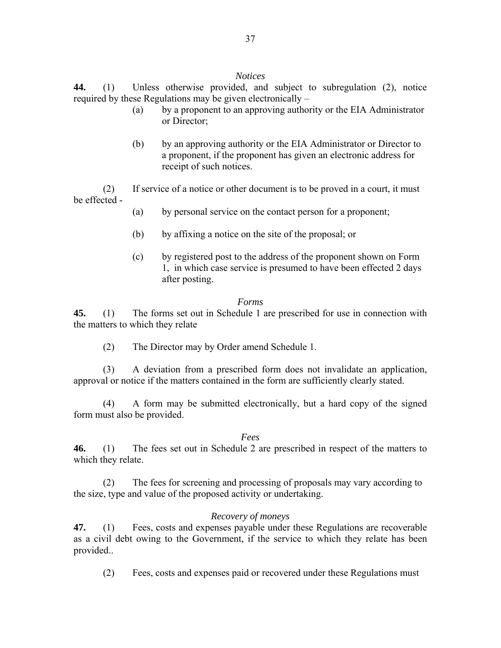#### *Notices*

**44.** (1) Unless otherwise provided, and subject to subregulation (2), notice required by these Regulations may be given electronically –

- (a) by a proponent to an approving authority or the EIA Administrator or Director;
- (b) by an approving authority or the EIA Administrator or Director to a proponent, if the proponent has given an electronic address for receipt of such notices.

(2) If service of a notice or other document is to be proved in a court, it must be effected -

- (a) by personal service on the contact person for a proponent;
- (b) by affixing a notice on the site of the proposal; or
- (c) by registered post to the address of the proponent shown on Form 1, in which case service is presumed to have been effected 2 days after posting.

### *Forms*

**45.** (1) The forms set out in Schedule 1 are prescribed for use in connection with the matters to which they relate

(2) The Director may by Order amend Schedule 1.

(3) A deviation from a prescribed form does not invalidate an application, approval or notice if the matters contained in the form are sufficiently clearly stated.

(4) A form may be submitted electronically, but a hard copy of the signed form must also be provided.

### *Fees*

**46.** (1) The fees set out in Schedule 2 are prescribed in respect of the matters to which they relate.

(2) The fees for screening and processing of proposals may vary according to the size, type and value of the proposed activity or undertaking.

### *Recovery of moneys*

**47.** (1) Fees, costs and expenses payable under these Regulations are recoverable as a civil debt owing to the Government, if the service to which they relate has been provided..

(2) Fees, costs and expenses paid or recovered under these Regulations must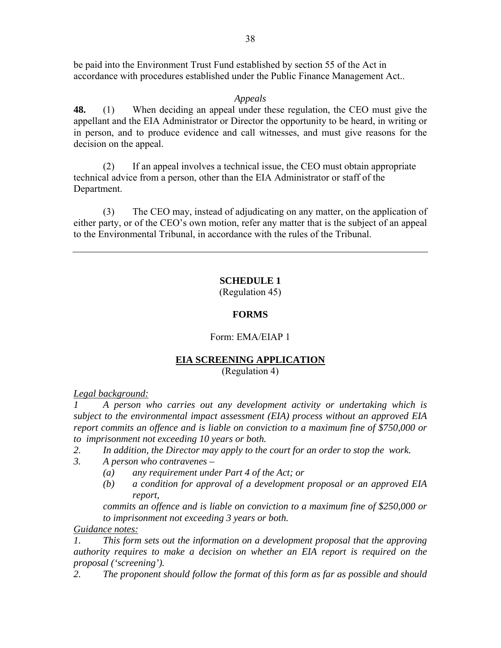be paid into the Environment Trust Fund established by section 55 of the Act in accordance with procedures established under the Public Finance Management Act..

### *Appeals*

**48.** (1) When deciding an appeal under these regulation, the CEO must give the appellant and the EIA Administrator or Director the opportunity to be heard, in writing or in person, and to produce evidence and call witnesses, and must give reasons for the decision on the appeal.

(2) If an appeal involves a technical issue, the CEO must obtain appropriate technical advice from a person, other than the EIA Administrator or staff of the Department.

 (3) The CEO may, instead of adjudicating on any matter, on the application of either party, or of the CEO's own motion, refer any matter that is the subject of an appeal to the Environmental Tribunal, in accordance with the rules of the Tribunal.

### **SCHEDULE 1**

(Regulation 45)

### **FORMS**

### Form: EMA/EIAP 1

### **EIA SCREENING APPLICATION**

(Regulation 4)

*Legal background:*

*1 A person who carries out any development activity or undertaking which is subject to the environmental impact assessment (EIA) process without an approved EIA report commits an offence and is liable on conviction to a maximum fine of \$750,000 or to imprisonment not exceeding 10 years or both.* 

- *2. In addition, the Director may apply to the court for an order to stop the work.*
- *3. A person who contravenes* 
	- *(a) any requirement under Part 4 of the Act; or*
	- *(b) a condition for approval of a development proposal or an approved EIA report,*

*commits an offence and is liable on conviction to a maximum fine of \$250,000 or to imprisonment not exceeding 3 years or both.* 

*Guidance notes:*

*1. This form sets out the information on a development proposal that the approving authority requires to make a decision on whether an EIA report is required on the proposal ('screening').* 

*2. The proponent should follow the format of this form as far as possible and should*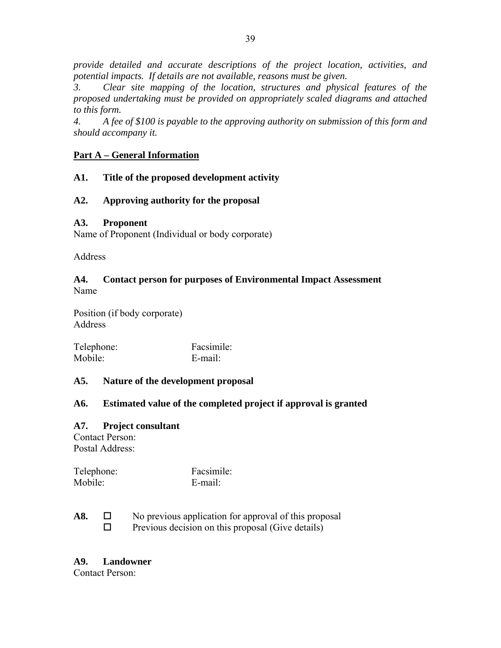*provide detailed and accurate descriptions of the project location, activities, and potential impacts. If details are not available, reasons must be given.* 

*3. Clear site mapping of the location, structures and physical features of the proposed undertaking must be provided on appropriately scaled diagrams and attached to this form.* 

*4. A fee of \$100 is payable to the approving authority on submission of this form and should accompany it.* 

### **Part A – General Information**

### **A1. Title of the proposed development activity**

### **A2. Approving authority for the proposal**

### **A3. Proponent**

Name of Proponent (Individual or body corporate)

Address

#### **A4. Contact person for purposes of Environmental Impact Assessment** Name

Position (if body corporate) **Address** 

| Telephone: | Facsimile: |
|------------|------------|
| Mobile:    | E-mail:    |

### **A5. Nature of the development proposal**

### **A6. Estimated value of the completed project if approval is granted**

### **A7. Project consultant**

Contact Person: Postal Address:

| Telephone: | Facsimile: |
|------------|------------|
| Mobile:    | E-mail:    |

**A8.** □ No previous application for approval of this proposal  $\Box$  Previous decision on this proposal (Give details)

### **A9. Landowner**

Contact Person: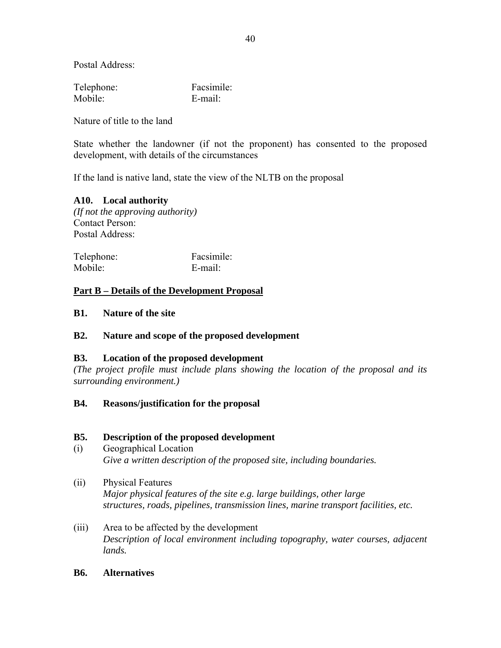Postal Address:

| Telephone: | Facsimile: |
|------------|------------|
| Mobile:    | E-mail:    |

Nature of title to the land

State whether the landowner (if not the proponent) has consented to the proposed development, with details of the circumstances

If the land is native land, state the view of the NLTB on the proposal

### **A10. Local authority**

*(If not the approving authority)* Contact Person: Postal Address:

| Telephone: | Facsimile: |
|------------|------------|
| Mobile:    | E-mail:    |

### **Part B – Details of the Development Proposal**

#### **B1. Nature of the site**

### **B2. Nature and scope of the proposed development**

### **B3. Location of the proposed development**

*(The project profile must include plans showing the location of the proposal and its surrounding environment.)* 

### **B4. Reasons/justification for the proposal**

#### **B5. Description of the proposed development**

- (i) Geographical Location *Give a written description of the proposed site, including boundaries.*
- (ii) Physical Features *Major physical features of the site e.g. large buildings, other large structures, roads, pipelines, transmission lines, marine transport facilities, etc.*
- (iii) Area to be affected by the development *Description of local environment including topography, water courses, adjacent lands.*

#### **B6. Alternatives**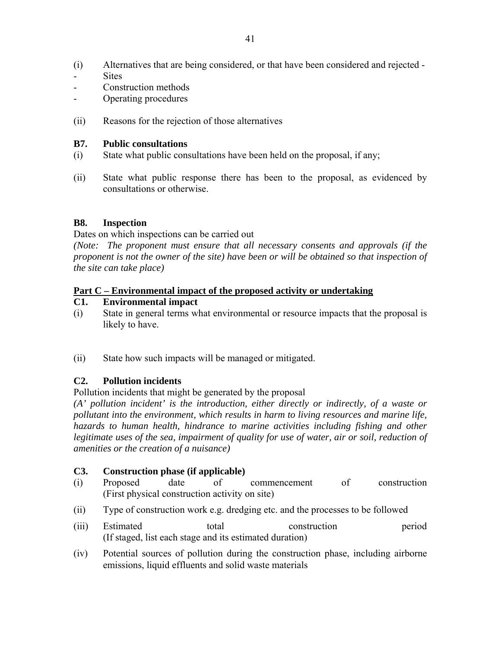- (i) Alternatives that are being considered, or that have been considered and rejected **Sites**
- Construction methods
- Operating procedures
- (ii) Reasons for the rejection of those alternatives

### **B7. Public consultations**

- (i) State what public consultations have been held on the proposal, if any;
- (ii) State what public response there has been to the proposal, as evidenced by consultations or otherwise.

### **B8. Inspection**

Dates on which inspections can be carried out

*(Note: The proponent must ensure that all necessary consents and approvals (if the proponent is not the owner of the site) have been or will be obtained so that inspection of the site can take place)* 

### **Part C – Environmental impact of the proposed activity or undertaking**

### **C1. Environmental impact**

- (i) State in general terms what environmental or resource impacts that the proposal is likely to have.
- (ii) State how such impacts will be managed or mitigated.

### **C2. Pollution incidents**

Pollution incidents that might be generated by the proposal

*(A' pollution incident' is the introduction, either directly or indirectly, of a waste or pollutant into the environment, which results in harm to living resources and marine life, hazards to human health, hindrance to marine activities including fishing and other* legitimate uses of the sea, impairment of quality for use of water, air or soil, reduction of *amenities or the creation of a nuisance)* 

### **C3. Construction phase (if applicable)**

- (i) Proposed date of commencement of construction (First physical construction activity on site)
- (ii) Type of construction work e.g. dredging etc. and the processes to be followed
- (iii) Estimated total construction period (If staged, list each stage and its estimated duration)
- (iv) Potential sources of pollution during the construction phase, including airborne emissions, liquid effluents and solid waste materials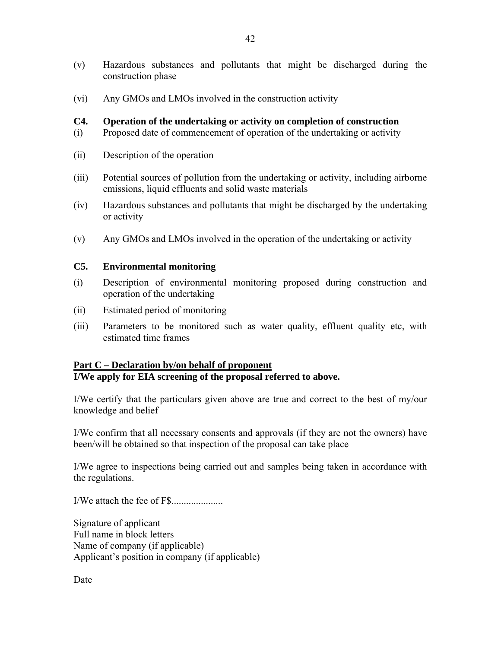- (v) Hazardous substances and pollutants that might be discharged during the construction phase
- (vi) Any GMOs and LMOs involved in the construction activity

### **C4. Operation of the undertaking or activity on completion of construction**

- (i) Proposed date of commencement of operation of the undertaking or activity
- (ii) Description of the operation
- (iii) Potential sources of pollution from the undertaking or activity, including airborne emissions, liquid effluents and solid waste materials
- (iv) Hazardous substances and pollutants that might be discharged by the undertaking or activity
- (v) Any GMOs and LMOs involved in the operation of the undertaking or activity

### **C5. Environmental monitoring**

- (i) Description of environmental monitoring proposed during construction and operation of the undertaking
- (ii) Estimated period of monitoring
- (iii) Parameters to be monitored such as water quality, effluent quality etc, with estimated time frames

# **Part C – Declaration by/on behalf of proponent**

**I/We apply for EIA screening of the proposal referred to above.** 

I/We certify that the particulars given above are true and correct to the best of my/our knowledge and belief

I/We confirm that all necessary consents and approvals (if they are not the owners) have been/will be obtained so that inspection of the proposal can take place

I/We agree to inspections being carried out and samples being taken in accordance with the regulations.

I/We attach the fee of F\$.....................

Signature of applicant Full name in block letters Name of company (if applicable) Applicant's position in company (if applicable)

Date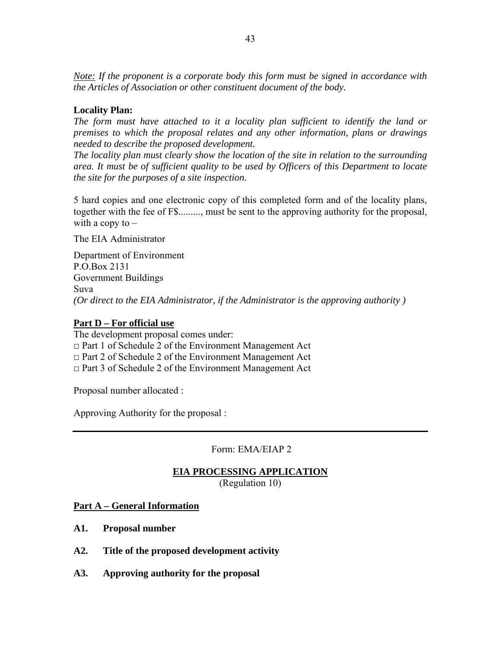*Note: If the proponent is a corporate body this form must be signed in accordance with the Articles of Association or other constituent document of the body.* 

### **Locality Plan:**

*The form must have attached to it a locality plan sufficient to identify the land or premises to which the proposal relates and any other information, plans or drawings needed to describe the proposed development.* 

*The locality plan must clearly show the location of the site in relation to the surrounding area. It must be of sufficient quality to be used by Officers of this Department to locate the site for the purposes of a site inspection.* 

5 hard copies and one electronic copy of this completed form and of the locality plans, together with the fee of F\$........., must be sent to the approving authority for the proposal, with a copy to  $-$ 

The EIA Administrator

Department of Environment P.O.Box 2131 Government Buildings Suva *(Or direct to the EIA Administrator, if the Administrator is the approving authority )* 

### **Part D – For official use**

The development proposal comes under: □ Part 1 of Schedule 2 of the Environment Management Act  $\Box$  Part 2 of Schedule 2 of the Environment Management Act □ Part 3 of Schedule 2 of the Environment Management Act

Proposal number allocated :

Approving Authority for the proposal :

Form: EMA/EIAP 2

# **EIA PROCESSING APPLICATION**

(Regulation 10)

**Part A – General Information**

- **A1. Proposal number**
- **A2. Title of the proposed development activity**
- **A3. Approving authority for the proposal**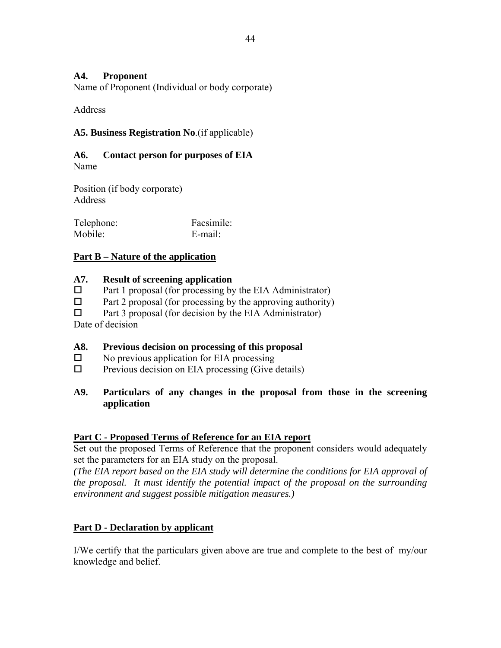### **A4. Proponent**

Name of Proponent (Individual or body corporate)

**Address** 

### **A5. Business Registration No**.(if applicable)

### **A6. Contact person for purposes of EIA** Name

Position (if body corporate) Address

| Telephone: | Facsimile: |
|------------|------------|
| Mobile:    | E-mail:    |

### **Part B – Nature of the application**

### **A7. Result of screening application**

- $\Box$  Part 1 proposal (for processing by the EIA Administrator)
- $\Box$  Part 2 proposal (for processing by the approving authority)

 $\Box$  Part 3 proposal (for decision by the EIA Administrator)

Date of decision

### **A8. Previous decision on processing of this proposal**

- $\square$  No previous application for EIA processing
- $\Box$  Previous decision on EIA processing (Give details)

### **A9. Particulars of any changes in the proposal from those in the screening application**

### **Part C - Proposed Terms of Reference for an EIA report**

Set out the proposed Terms of Reference that the proponent considers would adequately set the parameters for an EIA study on the proposal.

*(The EIA report based on the EIA study will determine the conditions for EIA approval of the proposal. It must identify the potential impact of the proposal on the surrounding environment and suggest possible mitigation measures.)* 

### **Part D - Declaration by applicant**

I/We certify that the particulars given above are true and complete to the best of my/our knowledge and belief.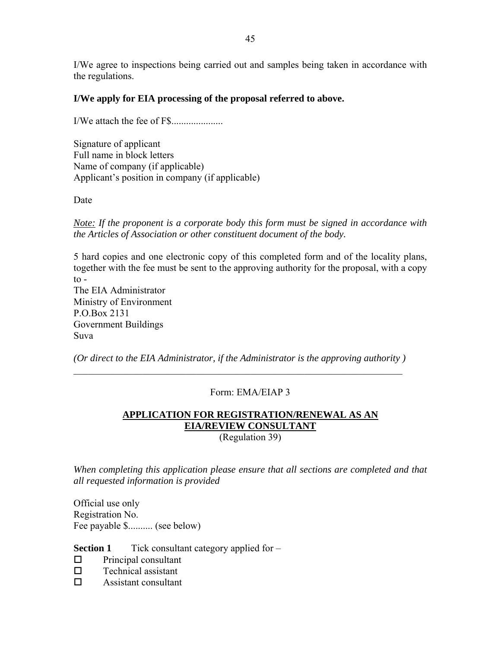I/We agree to inspections being carried out and samples being taken in accordance with the regulations.

### **I/We apply for EIA processing of the proposal referred to above.**

I/We attach the fee of F\$.....................

Signature of applicant Full name in block letters Name of company (if applicable) Applicant's position in company (if applicable)

Date

*Note: If the proponent is a corporate body this form must be signed in accordance with the Articles of Association or other constituent document of the body.* 

5 hard copies and one electronic copy of this completed form and of the locality plans, together with the fee must be sent to the approving authority for the proposal, with a copy  $\frac{1}{2}$ The EIA Administrator

Ministry of Environment P.O.Box 2131 Government Buildings Suva

*(Or direct to the EIA Administrator, if the Administrator is the approving authority )*   $\mathcal{L}_\mathcal{L} = \{ \mathcal{L}_\mathcal{L} = \{ \mathcal{L}_\mathcal{L} = \{ \mathcal{L}_\mathcal{L} = \{ \mathcal{L}_\mathcal{L} = \{ \mathcal{L}_\mathcal{L} = \{ \mathcal{L}_\mathcal{L} = \{ \mathcal{L}_\mathcal{L} = \{ \mathcal{L}_\mathcal{L} = \{ \mathcal{L}_\mathcal{L} = \{ \mathcal{L}_\mathcal{L} = \{ \mathcal{L}_\mathcal{L} = \{ \mathcal{L}_\mathcal{L} = \{ \mathcal{L}_\mathcal{L} = \{ \mathcal{L}_\mathcal{$ 

### Form: EMA/EIAP 3

# **APPLICATION FOR REGISTRATION/RENEWAL AS AN EIA/REVIEW CONSULTANT**

(Regulation 39)

*When completing this application please ensure that all sections are completed and that all requested information is provided* 

Official use only Registration No. Fee payable \$.......... (see below)

**Section 1** Tick consultant category applied for –

- $\Box$  Principal consultant
- $\square$  Technical assistant
- □ Assistant consultant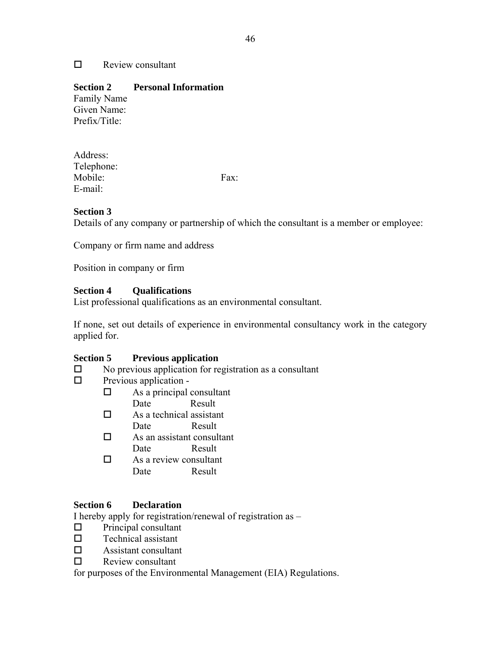### $\Box$  Review consultant

### **Section 2 Personal Information**

Family Name Given Name: Prefix/Title:

Address: Telephone: Mobile: Fax: E-mail:

### **Section 3**

Details of any company or partnership of which the consultant is a member or employee:

Company or firm name and address

Position in company or firm

### **Section 4 Qualifications**

List professional qualifications as an environmental consultant.

If none, set out details of experience in environmental consultancy work in the category applied for.

### **Section 5 Previous application**

- $\square$  No previous application for registration as a consultant
- $\Box$  Previous application -
	- $\Box$  As a principal consultant
	- Date Result
	- $\Box$  As a technical assistant Date Result
	- $\Box$  As an assistant consultant
		- Date Result
	- $\Box$  As a review consultant Date Result

### **Section 6 Declaration**

I hereby apply for registration/renewal of registration as –

- $\Box$  Principal consultant
- $\square$  Technical assistant
- $\Box$  Assistant consultant
- $\Box$  Review consultant

for purposes of the Environmental Management (EIA) Regulations.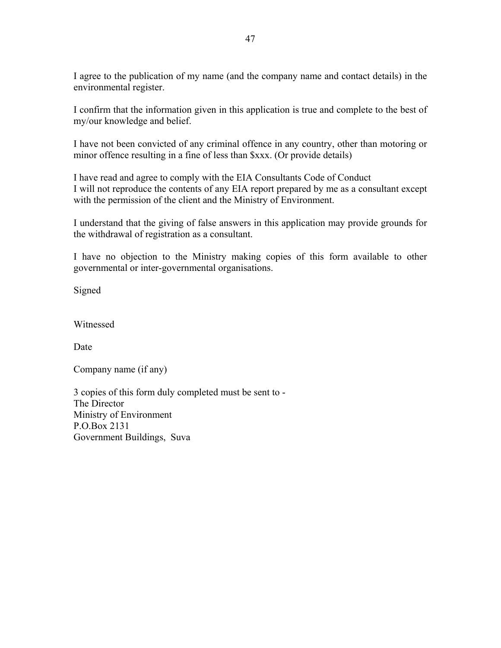I agree to the publication of my name (and the company name and contact details) in the environmental register.

I confirm that the information given in this application is true and complete to the best of my/our knowledge and belief.

I have not been convicted of any criminal offence in any country, other than motoring or minor offence resulting in a fine of less than \$xxx. (Or provide details)

I have read and agree to comply with the EIA Consultants Code of Conduct I will not reproduce the contents of any EIA report prepared by me as a consultant except with the permission of the client and the Ministry of Environment.

I understand that the giving of false answers in this application may provide grounds for the withdrawal of registration as a consultant.

I have no objection to the Ministry making copies of this form available to other governmental or inter-governmental organisations.

Signed

Witnessed

Date

Company name (if any)

3 copies of this form duly completed must be sent to - The Director Ministry of Environment P.O.Box 2131 Government Buildings, Suva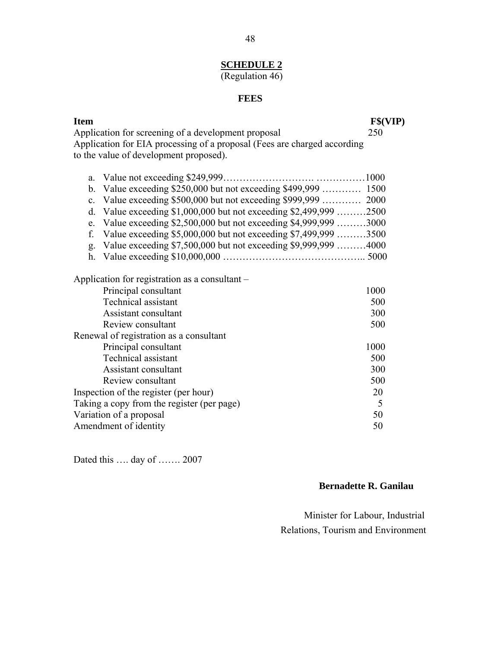# **SCHEDULE 2**

# (Regulation 46)

# **FEES**

| <b>Item</b>                                                              | F\$(VIP) |
|--------------------------------------------------------------------------|----------|
| Application for screening of a development proposal                      | 250      |
| Application for EIA processing of a proposal (Fees are charged according |          |
| to the value of development proposed).                                   |          |
|                                                                          |          |
| Value not exceeding \$249,999<br>a.                                      |          |
| b.                                                                       |          |
| $\mathbf{c}$ .                                                           |          |
| Value exceeding \$1,000,000 but not exceeding \$2,499,999 2500<br>d.     |          |
| Value exceeding \$2,500,000 but not exceeding \$4,999,999 3000<br>e.     |          |
| f.<br>Value exceeding \$5,000,000 but not exceeding \$7,499,999 3500     |          |
| Value exceeding \$7,500,000 but not exceeding \$9,999,999 4000<br>g.     |          |
| h.                                                                       |          |
| Application for registration as a consultant –                           |          |
| Principal consultant                                                     | 1000     |
| <b>Technical assistant</b>                                               | 500      |
| Assistant consultant                                                     | 300      |
| Review consultant                                                        | 500      |
| Renewal of registration as a consultant                                  |          |
| Principal consultant                                                     | 1000     |
| Technical assistant                                                      | 500      |
| Assistant consultant                                                     | 300      |
| Review consultant                                                        | 500      |
| Inspection of the register (per hour)                                    | 20       |
| Taking a copy from the register (per page)                               | 5        |
| Variation of a proposal                                                  | 50       |
| Amendment of identity                                                    | 50       |

Dated this …. day of ……. 2007

### **Bernadette R. Ganilau**

 Minister for Labour, Industrial Relations, Tourism and Environment